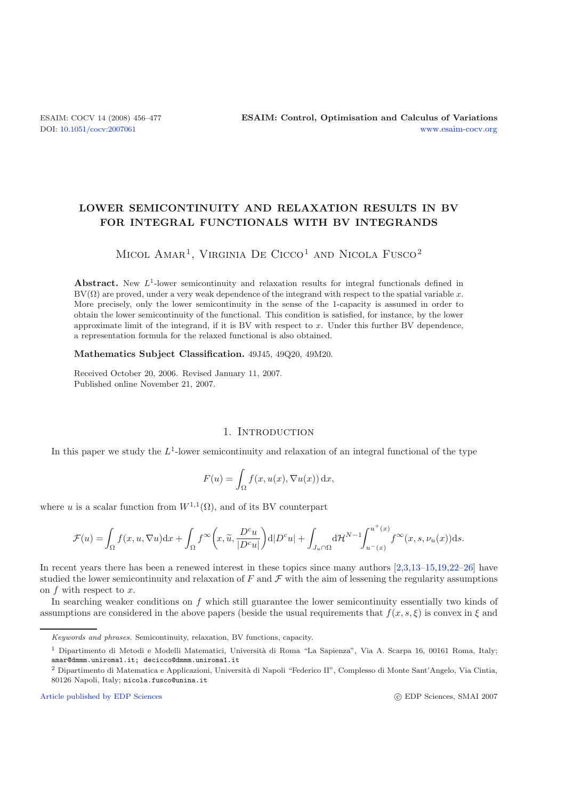# **LOWER SEMICONTINUITY AND RELAXATION RESULTS IN BV FOR INTEGRAL FUNCTIONALS WITH BV INTEGRANDS**

# MICOL AMAR<sup>1</sup>, VIRGINIA DE CICCO<sup>1</sup> AND NICOLA FUSCO<sup>2</sup>

**Abstract.** New  $L^1$ -lower semicontinuity and relaxation results for integral functionals defined in  $BV(\Omega)$  are proved, under a very weak dependence of the integrand with respect to the spatial variable  $x$ . More precisely, only the lower semicontinuity in the sense of the 1-capacity is assumed in order to obtain the lower semicontinuity of the functional. This condition is satisfied, for instance, by the lower approximate limit of the integrand, if it is BV with respect to *x*. Under this further BV dependence, a representation formula for the relaxed functional is also obtained.

**Mathematics Subject Classification.** 49J45, 49Q20, 49M20.

Received October 20, 2006. Revised January 11, 2007. Published online November 21, 2007.

# 1. INTRODUCTION

In this paper we study the  $L<sup>1</sup>$ -lower semicontinuity and relaxation of an integral functional of the type

$$
F(u) = \int_{\Omega} f(x, u(x), \nabla u(x)) \, dx,
$$

where u is a scalar function from  $W^{1,1}(\Omega)$ , and of its BV counterpart

$$
\mathcal{F}(u) = \int_{\Omega} f(x, u, \nabla u) dx + \int_{\Omega} f^{\infty}\left(x, \widetilde{u}, \frac{D^{c}u}{|D^{c}u|}\right) d|D^{c}u| + \int_{J_{u} \cap \Omega} d\mathcal{H}^{N-1} \int_{u^{-}(x)}^{u^{+}(x)} f^{\infty}(x, s, \nu_{u}(x)) ds.
$$

In recent years there has been a renewed interest in these topics since many authors [\[2](#page-21-0)[,3](#page-21-1)[,13](#page-21-2)[–15](#page-21-3)[,19](#page-21-4)[,22](#page-21-5)[–26](#page-21-6)] have studied the lower semicontinuity and relaxation of  $F$  and  $\mathcal F$  with the aim of lessening the regularity assumptions on f with respect to x.

In searching weaker conditions on f which still guarantee the lower semicontinuity essentially two kinds of assumptions are considered in the above papers (beside the usual requirements that  $f(x, s, \xi)$  is convex in  $\xi$  and

[Article published by EDP Sciences](http://www.edpsciences.org)

Keywords and phrases. Semicontinuity, relaxation, BV functions, capacity.

<sup>&</sup>lt;sup>1</sup> Dipartimento di Metodi e Modelli Matematici, Università di Roma "La Sapienza", Via A. Scarpa 16, 00161 Roma, Italy; amar@dmmm.uniroma1.it; decicco@dmmm.uniroma1.it

<sup>&</sup>lt;sup>2</sup> Dipartimento di Matematica e Applicazioni, Università di Napoli "Federico II", Complesso di Monte Sant'Angelo, Via Cintia, 80126 Napoli, Italy; nicola.fusco@unina.it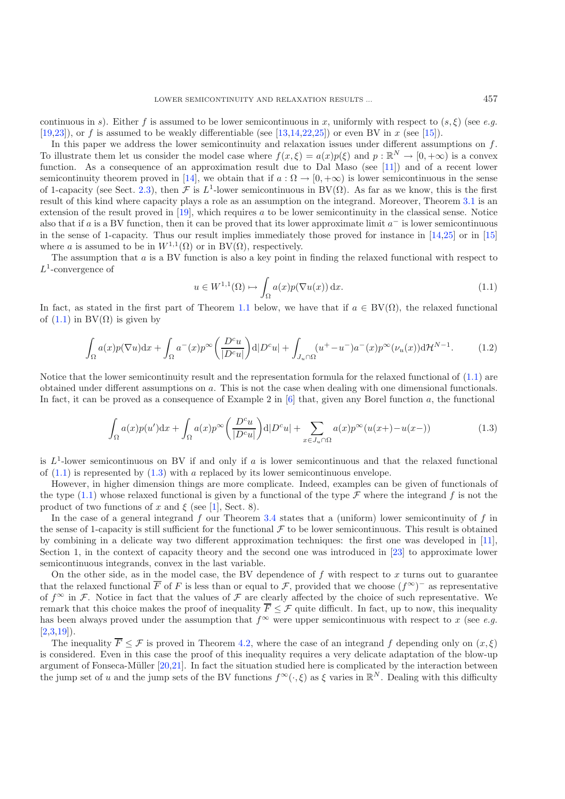continuous in s). Either f is assumed to be lower semicontinuous in x, uniformly with respect to  $(s, \xi)$  (see e.g. [\[19](#page-21-4)[,23\]](#page-21-7)), or f is assumed to be weakly differentiable (see [\[13](#page-21-2)[,14](#page-21-8)[,22](#page-21-5)[,25](#page-21-9)]) or even BV in x (see [\[15](#page-21-3)]).

<span id="page-1-0"></span>In this paper we address the lower semicontinuity and relaxation issues under different assumptions on  $f$ . To illustrate them let us consider the model case where  $f(x,\xi) = a(x)p(\xi)$  and  $p : \mathbb{R}^N \to [0, +\infty)$  is a convex function. As a consequence of an approximation result due to Dal Maso (see [\[11](#page-21-10)]) and of a recent lower semicontinuity theorem proved in [\[14\]](#page-21-8), we obtain that if  $a : \Omega \to [0, +\infty)$  is lower semicontinuous in the sense of 1-capacity (see Sect. [2.3\)](#page-4-0), then F is L<sup>1</sup>-lower semicontinuous in BV( $\Omega$ ). As far as we know, this is the first result of this kind where capacity plays a role as an assumption on the integrand. Moreover, Theorem [3.1](#page-7-0) is an extension of the result proved in [\[19\]](#page-21-4), which requires a to be lower semicontinuity in the classical sense. Notice also that if a is a BV function, then it can be proved that its lower approximate limit  $a^-$  is lower semicontinuous in the sense of 1-capacity. Thus our result implies immediately those proved for instance in [\[14](#page-21-8)[,25](#page-21-9)] or in [\[15](#page-21-3)] where a is assumed to be in  $W^{1,1}(\Omega)$  or in BV( $\Omega$ ), respectively.

<span id="page-1-2"></span>The assumption that a is a BV function is also a key point in finding the relaxed functional with respect to  $L^1$ -convergence of

$$
u \in W^{1,1}(\Omega) \mapsto \int_{\Omega} a(x) p(\nabla u(x)) \, \mathrm{d}x. \tag{1.1}
$$

<span id="page-1-1"></span>In fact, as stated in the first part of Theorem [1.1](#page-2-0) below, we have that if  $a \in BV(\Omega)$ , the relaxed functional of  $(1.1)$  in BV $(\Omega)$  is given by

$$
\int_{\Omega} a(x)p(\nabla u)dx + \int_{\Omega} a^-(x)p^{\infty}\left(\frac{D^c u}{|D^c u|}\right) d|D^c u| + \int_{J_u \cap \Omega} (u^+ - u^-)a^-(x)p^{\infty}(\nu_u(x))d\mathcal{H}^{N-1}.
$$
 (1.2)

Notice that the lower semicontinuity result and the representation formula for the relaxed functional of  $(1.1)$  are obtained under different assumptions on a. This is not the case when dealing with one dimensional functionals. In fact, it can be proved as a consequence of Example 2 in  $[6]$  $[6]$  that, given any Borel function a, the functional

$$
\int_{\Omega} a(x)p(u')dx + \int_{\Omega} a(x)p^{\infty} \left(\frac{D^c u}{|D^c u|}\right) d|D^c u| + \sum_{x \in J_u \cap \Omega} a(x)p^{\infty} (u(x+) - u(x-))
$$
\n(1.3)

is  $L^1$ -lower semicontinuous on BV if and only if a is lower semicontinuous and that the relaxed functional of  $(1.1)$  is represented by  $(1.3)$  with a replaced by its lower semicontinuous envelope.

However, in higher dimension things are more complicate. Indeed, examples can be given of functionals of the type  $(1.1)$  whose relaxed functional is given by a functional of the type  $\mathcal F$  where the integrand f is not the product of two functions of x and  $\xi$  (see [\[1](#page-21-12)], Sect. 8).

In the case of a general integrand f our Theorem [3.4](#page-8-0) states that a (uniform) lower semicontinuity of f in the sense of 1-capacity is still sufficient for the functional  $\mathcal F$  to be lower semicontinuous. This result is obtained by combining in a delicate way two different approximation techniques: the first one was developed in [\[11\]](#page-21-10), Section 1, in the context of capacity theory and the second one was introduced in [\[23\]](#page-21-7) to approximate lower semicontinuous integrands, convex in the last variable.

On the other side, as in the model case, the BV dependence of  $f$  with respect to  $x$  turns out to guarantee that the relaxed functional  $\overline{F}$  of F is less than or equal to F, provided that we choose  $(f^{\infty})^-$  as representative of  $f^{\infty}$  in F. Notice in fact that the values of F are clearly affected by the choice of such representative. We remark that this choice makes the proof of inequality  $\overline{F} \leq \mathcal{F}$  quite difficult. In fact, up to now, this inequality has been always proved under the assumption that  $f^{\infty}$  were upper semicontinuous with respect to x (see *e.g.*)  $[2,3,19]$  $[2,3,19]$  $[2,3,19]$  $[2,3,19]$ ).

The inequality  $\overline{F} \leq \mathcal{F}$  is proved in Theorem [4.2,](#page-14-0) where the case of an integrand f depending only on  $(x, \xi)$ is considered. Even in this case the proof of this inequality requires a very delicate adaptation of the blow-up argument of Fonseca-Müller  $[20,21]$  $[20,21]$  $[20,21]$ . In fact the situation studied here is complicated by the interaction between the jump set of u and the jump sets of the BV functions  $f^{\infty}(\cdot,\xi)$  as  $\xi$  varies in  $\mathbb{R}^{N}$ . Dealing with this difficulty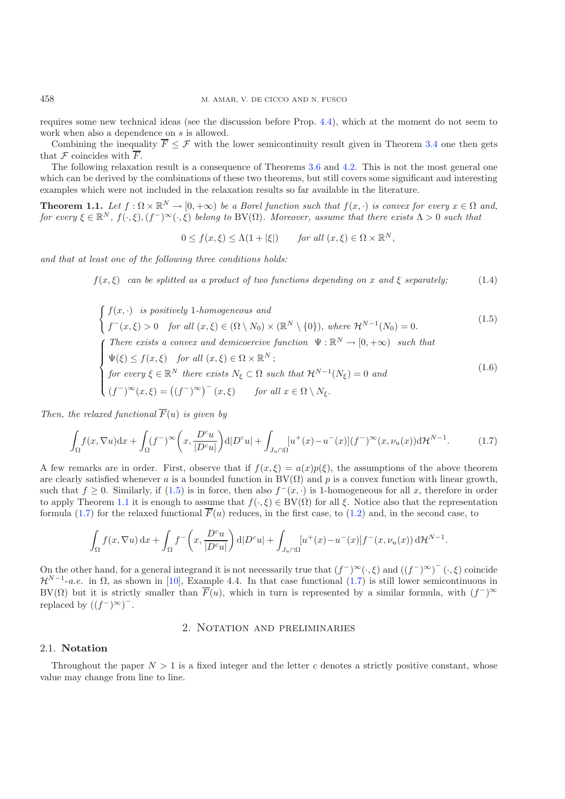requires some new technical ideas (see the discussion before Prop. [4.4\)](#page-16-0), which at the moment do not seem to work when also a dependence on s is allowed.

<span id="page-2-3"></span>Combining the inequality  $\overline{F} \leq \mathcal{F}$  with the lower semicontinuity result given in Theorem [3.4](#page-8-0) one then gets that  $\mathcal F$  coincides with  $\overline{F}$ .

The following relaxation result is a consequence of Theorems [3.6](#page-10-0) and [4.2.](#page-14-0) This is not the most general one which can be derived by the combinations of these two theorems, but still covers some significant and interesting examples which were not included in the relaxation results so far available in the literature.

<span id="page-2-0"></span>**Theorem 1.1.** Let  $f : \Omega \times \mathbb{R}^N \to [0, +\infty)$  be a Borel function such that  $f(x, \cdot)$  is convex for every  $x \in \Omega$  and, *for every*  $\xi \in \mathbb{R}^N$ ,  $f(\cdot,\xi)$ ,  $(f^-)^\infty(\cdot,\xi)$  *belong to* BV( $\Omega$ )*. Moreover, assume that there exists*  $\Lambda > 0$  *such that* 

<span id="page-2-4"></span><span id="page-2-1"></span>
$$
0 \le f(x,\xi) \le \Lambda(1+|\xi|) \quad \text{for all } (x,\xi) \in \Omega \times \mathbb{R}^N,
$$

<span id="page-2-2"></span>*and that at least one of the following three conditions holds:*

 $f(x,\xi)$  *can be splitted as a product of two functions depending on* x and  $\xi$  *separately;* (1.4)

$$
\begin{cases}\nf(x, \cdot) & is\ positively\ 1-homogeneous\ and \\
f^-(x,\xi) > 0\quad \text{for all } (x,\xi) \in (\Omega \setminus N_0) \times (\mathbb{R}^N \setminus \{0\}),\ where\ \mathcal{H}^{N-1}(N_0) = 0.\n\end{cases}\n\tag{1.5}
$$
\n
$$
\text{There exists a convex and demicocective function } \Psi : \mathbb{R}^N \to [0, +\infty) \quad \text{such that}
$$
\n
$$
\Psi(\xi) \le f(x,\xi) \quad \text{for all } (x,\xi) \in \Omega \times \mathbb{R}^N;
$$
\n
$$
\text{for every } \xi \in \mathbb{R}^N \quad \text{there exists } N_{\xi} \subset \Omega \quad \text{such that } \mathcal{H}^{N-1}(N_{\xi}) = 0 \quad \text{and}
$$
\n
$$
(f^-)^\infty(x,\xi) = ((f^-)^\infty)^-(x,\xi) \quad \text{for all } x \in \Omega \setminus N_{\xi}.\n\tag{1.6}
$$

*Then, the relaxed functional*  $\overline{F}(u)$  *is given by* 

$$
\int_{\Omega} f(x, \nabla u) dx + \int_{\Omega} (f^{-})^{\infty} \left( x, \frac{D^{c} u}{|D^{c} u|} \right) d|D^{c} u| + \int_{J_{u} \cap \Omega} [u^{+}(x) - u^{-}(x)] (f^{-})^{\infty} (x, \nu_{u}(x)) d\mathcal{H}^{N-1}.
$$
 (1.7)

A few remarks are in order. First, observe that if  $f(x,\xi) = a(x)p(\xi)$ , the assumptions of the above theorem are clearly satisfied whenever a is a bounded function in  $BV(\Omega)$  and p is a convex function with linear growth, such that  $f \geq 0$ . Similarly, if [\(1.5\)](#page-2-1) is in force, then also  $f^-(x, \cdot)$  is 1-homogeneous for all x, therefore in order to apply Theorem [1.1](#page-2-0) it is enough to assume that  $f(\cdot,\xi) \in BV(\Omega)$  for all  $\xi$ . Notice also that the representation formula [\(1.7\)](#page-2-2) for the relaxed functional  $\overline{F}(u)$  reduces, in the first case, to [\(1.2\)](#page-1-2) and, in the second case, to

$$
\int_{\Omega} f(x, \nabla u) dx + \int_{\Omega} f^{-}\left(x, \frac{D^{c} u}{|D^{c} u|}\right) d|D^{c} u| + \int_{J_{u} \cap \Omega} [u^{+}(x) - u^{-}(x)] f^{-}(x, \nu_{u}(x)) d\mathcal{H}^{N-1}.
$$

On the other hand, for a general integrand it is not necessarily true that  $(f^-)^\infty(\cdot,\xi)$  and  $((f^-)^\infty)^- (\cdot,\xi)$  coincide<br> $\mathcal{H}^{N-1}$ -ge in O as shown in [10] Example 4.4. In that case functional (1.7) is still lower semic  $\mathcal{H}^{N-1}$ -*a.e.* in  $\Omega$ , as shown in [\[10\]](#page-21-15), Example 4.4. In that case functional [\(1.7\)](#page-2-2) is still lower semicontinuous in BV( $\Omega$ ) but it is strictly smaller than  $\overline{F}(u)$ , which in turn is represented by a similar formula, with  $(f^-)^\infty$ replaced by  $((f^-)^{\infty})^-$ .

#### 2. Notation and preliminaries

#### 2.1. **Notation**

Throughout the paper  $N > 1$  is a fixed integer and the letter c denotes a strictly positive constant, whose value may change from line to line.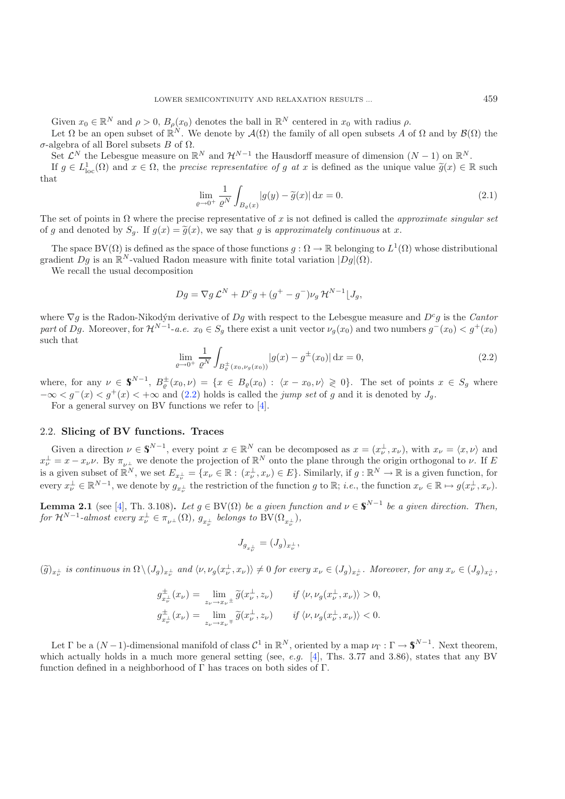<span id="page-3-1"></span>Given  $x_0 \in \mathbb{R}^N$  and  $\rho > 0$ ,  $B_\rho(x_0)$  denotes the ball in  $\mathbb{R}^N$  centered in  $x_0$  with radius  $\rho$ .

Let  $\Omega$  be an open subset of  $\mathbb{R}^N$ . We denote by  $\mathcal{A}(\Omega)$  the family of all open subsets A of  $\Omega$  and by  $\mathcal{B}(\Omega)$  the  $\sigma$ -algebra of all Borel subsets B of  $\Omega$ . σ-algebra of all Borel subsets B of  $Ω$ .<br>Set  $C^N$  the Lebesgue measure on  $\mathbb{R}$ 

Set  $\mathcal{L}^N$  the Lebesgue measure on  $\mathbb{R}^N$  and  $\mathcal{H}^{N-1}$  the Hausdorff measure of dimension  $(N-1)$  on  $\mathbb{R}^N$ .<br>If  $a \in L^1$  (O) and  $x \in \Omega$  the precise representative of a at x is defined as the unique value

If  $g \in L^1_{loc}(\Omega)$  and  $x \in \Omega$ , the *precise representative of* g at x is defined as the unique value  $\widetilde{g}(x) \in \mathbb{R}$  such that

$$
\lim_{\varrho \to 0^+} \frac{1}{\varrho^N} \int_{B_{\varrho}(x)} |g(y) - \widetilde{g}(x)| \, \mathrm{d}x = 0. \tag{2.1}
$$

<span id="page-3-0"></span>The set of points in Ω where the precise representative of x is not defined is called the *approximate singular set* of g and denoted by  $S_g$ . If  $g(x) = \tilde{g}(x)$ , we say that g is *approximately continuous* at x.

The space BV( $\Omega$ ) is defined as the space of those functions  $g : \Omega \to \mathbb{R}$  belonging to  $L^1(\Omega)$  whose distributional gradient  $Dg$  is an  $\mathbb{R}^N$ -valued Radon measure with finite total variation  $|Dg|(\Omega)$ .

We recall the usual decomposition

$$
Dg = \nabla g \mathcal{L}^N + D^c g + (g^+ - g^-) \nu_g \mathcal{H}^{N-1} \lfloor J_g,
$$

where  $\nabla q$  is the Radon-Nikodým derivative of Dq with respect to the Lebesgue measure and D<sup>c</sup>q is the *Cantor part* of Dg. Moreover, for  $\mathcal{H}^{N-1}$ -*a.e.*  $x_0 \in S_q$  there exist a unit vector  $\nu_q(x_0)$  and two numbers  $q^-(x_0) < q^+(x_0)$ such that

$$
\lim_{\varrho \to 0^+} \frac{1}{\varrho^N} \int_{B_{\varrho}^{\pm}(x_0, \nu_g(x_0))} |g(x) - g^{\pm}(x_0)| \, \mathrm{d}x = 0,\tag{2.2}
$$

where, for any  $\nu \in \mathbb{S}^{N-1}$ ,  $B_{\varepsilon}^{\pm}(x_0,\nu) = \{x \in B_{\varepsilon}(x_0) : \langle x - x_0, \nu \rangle \geq 0\}$ . The set of points  $x \in S_g$  where  $-\infty < g^-(x) < g^+(x) < +\infty$  and [\(2.2\)](#page-3-0) holds is called the *jump set* of g and it is denoted by  $J_g$ .

For a general survey on BV functions we refer to [\[4](#page-21-16)].

## 2.2. **Slicing of BV functions. Traces**

Given a direction  $\nu \in \mathbb{S}^{N-1}$ , every point  $x \in \mathbb{R}^N$  can be decomposed as  $x = (x_\nu^\perp, x_\nu)$ , with  $x_\nu = \langle x, \nu \rangle$  and  $x_\nu = x - x$ ,  $\nu$ ,  $\mathbb{R}^N$ , we denote the projection of  $\mathbb{R}^N$  onto the plane through the  $x_{\nu}^{\perp} = x - x_{\nu} \nu$ . By  $\pi_{\nu^{\perp}}$  we denote the projection of  $\mathbb{R}^{N}$  onto the plane through the origin orthogonal to  $\nu$ . If E is a given subset of  $\mathbb{R}^N$ , we set  $E_{x_v^{\perp}} = \{x_v \in \mathbb{R} : (x_v^{\perp}, x_v) \in E\}$ . Similarly, if  $g : \mathbb{R}^N \to \mathbb{R}$  is a given function, for every  $x_{\nu}^{\perp} \in \mathbb{R}^{N-1}$ , we denote by  $g_{x_{\nu}^{\perp}}$  the restriction of the function g to  $\mathbb{R}$ ; *i.e.*, the function  $x_{\nu} \in \mathbb{R} \mapsto g(x_{\nu}^{\perp}, x_{\nu})$ .

<span id="page-3-3"></span>**Lemma 2.1** (see [\[4\]](#page-21-16), Th. 3.108)**.** *Let*  $g \in BV(\Omega)$  *be a given function and*  $\nu \in \mathbb{S}^{N-1}$  *be a given direction. Then,*  $for \mathcal{H}^{N-1}\text{-}almost every  $x_{\nu}^{\perp} \in \pi_{\nu^{\perp}}(\Omega), g_{x_{\nu}^{\perp}}\text{ belongs to BV}(\Omega_{x_{\nu}^{\perp}}),$$ 

$$
J_{g_{x_\nu^\perp}} = (J_g)_{x_\nu^\perp},
$$

 $(\widetilde{g})_{x_{\nu}^{\perp}}$  is continuous in  $\Omega \setminus (J_g)_{x_{\nu}^{\perp}}$  and  $\langle \nu, \nu_g(x_{\nu}^{\perp}, x_{\nu}) \rangle \neq 0$  for every  $x_{\nu} \in (J_g)_{x_{\nu}^{\perp}}$ . Moreover, for any  $x_{\nu} \in (J_g)_{x_{\nu}^{\perp}}$ ,

$$
g_{x_{\nu}^{\perp}}^{\pm}(x_{\nu}) = \lim_{z_{\nu} \to x_{\nu}^{\perp}} \widetilde{g}(x_{\nu}^{\perp}, z_{\nu}) \qquad \text{if } \langle \nu, \nu_g(x_{\nu}^{\perp}, x_{\nu}) \rangle > 0,
$$
  

$$
g_{x_{\nu}^{\perp}}^{\pm}(x_{\nu}) = \lim_{z_{\nu} \to x_{\nu}^{\perp}} \widetilde{g}(x_{\nu}^{\perp}, z_{\nu}) \qquad \text{if } \langle \nu, \nu_g(x_{\nu}^{\perp}, x_{\nu}) \rangle < 0.
$$

<span id="page-3-2"></span>Let  $\Gamma$  be a  $(N-1)$ -dimensional manifold of class  $\mathcal{C}^1$  in  $\mathbb{R}^N$ , oriented by a map  $\nu_{\Gamma}: \Gamma \to \mathbb{S}^{N-1}$ . Next theorem, which actually holds in a much more general setting (see, *e.g.* [\[4](#page-21-16)], Ths. 3.77 and 3.86), states that any BV function defined in a neighborhood of Γ has traces on both sides of Γ.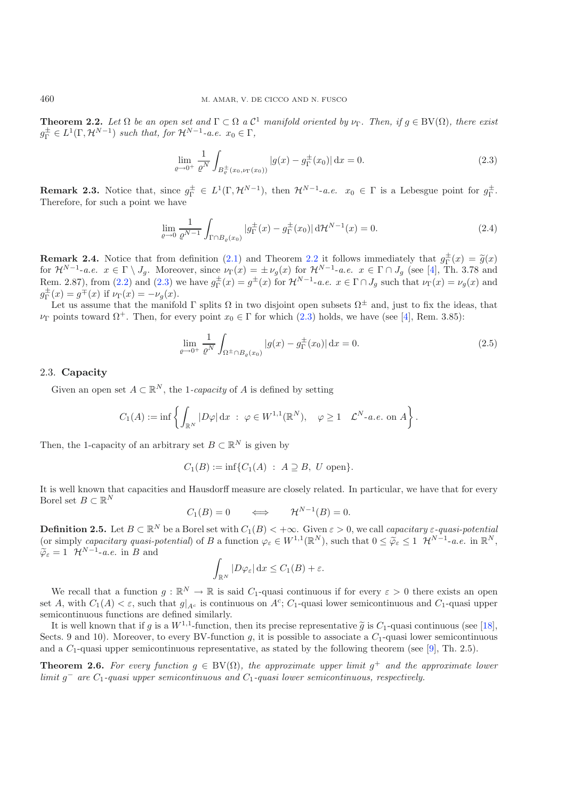**Theorem 2.2.** Let  $\Omega$  be an open set and  $\Gamma \subset \Omega$  a  $\mathcal{C}^1$  manifold oriented by  $\nu_{\Gamma}$ . Then, if  $g \in BV(\Omega)$ , there exist  $g_{\Gamma}^{\pm} \in L^1(\Gamma, \mathcal{H}^{N-1})$  *such that, for*  $\mathcal{H}^{N-1}$ *-a.e.*  $x_0 \in \Gamma$ *,* 

$$
\lim_{\varrho \to 0^+} \frac{1}{\varrho^N} \int_{B_{\varrho}^{\pm}(x_0, \nu_{\Gamma}(x_0))} |g(x) - g_{\Gamma}^{\pm}(x_0)| \, \mathrm{d}x = 0. \tag{2.3}
$$

**Remark 2.3.** Notice that, since  $g_{\Gamma}^{\pm} \in L^1(\Gamma, \mathcal{H}^{N-1})$ , then  $\mathcal{H}^{N-1}$ -*a.e.*  $x_0 \in \Gamma$  is a Lebesgue point for  $g_{\Gamma}^{\pm}$ .<br>Therefore for such a point we have Therefore, for such a point we have

<span id="page-4-3"></span>
$$
\lim_{\varrho \to 0} \frac{1}{\varrho^{N-1}} \int_{\Gamma \cap B_{\varrho}(x_0)} |g_{\Gamma}^{\pm}(x) - g_{\Gamma}^{\pm}(x_0)| \, d\mathcal{H}^{N-1}(x) = 0. \tag{2.4}
$$

<span id="page-4-4"></span>**Remark 2.4.** Notice that from definition [\(2.1\)](#page-3-1) and Theorem [2.2](#page-3-2) it follows immediately that  $g_{\Gamma}^{\pm}(x) = \tilde{g}(x)$  for  $\mathcal{H}^{N-1}$ -ge  $x \in \Gamma \setminus J$ . Moreover, since  $\nu_{\Gamma}(x) = \pm \nu_{\Gamma}(x)$  for  $\mathcal{H}^{N-1}$ -ge  $x \in \Gamma \cap J$  (s for  $\mathcal{H}^{N-1}$ -*a.e.*  $x \in \Gamma \setminus J_g$ . Moreover, since  $\nu_{\Gamma}(x) = \pm \nu_g(x)$  for  $\mathcal{H}^{N-1}$ -*a.e.*  $x \in \Gamma \cap J_g$  (see [\[4\]](#page-21-16), Th. 3.78 and<br>Bom 2.87), from (2.2) and (2.3) we have  $a^{\pm}(x) = a^{\pm}(x)$  for  $\mathcal{H}^{N-1}$ , *a.e.*  $x \$ Rem. 2.87), from [\(2.2\)](#page-3-0) and [\(2.3\)](#page-4-1) we have  $g_{\Gamma}^{\pm}(x) = g^{\pm}(x)$  for  $\mathcal{H}^{N-1}$ -*a.e.*  $x \in \Gamma \cap J_g$  such that  $\nu_{\Gamma}(x) = \nu_g(x)$  and  $g^{\pm}(x) = \sigma^{\pm}(g)$  if  $\nu_{\Gamma}(x) = \nu_g(x)$  $g_{\Gamma}^{\pm}(x) = g^{\mp}(x)$  if  $\nu_{\Gamma}(x) = -\nu_g(x)$ .<br>Let us assume that the manifold

Let us assume that the manifold  $\Gamma$  splits  $\Omega$  in two disjoint open subsets  $\Omega^{\pm}$  and, just to fix the ideas, that  $\nu_{\Gamma}$  points toward  $\Omega^{+}$ . Then, for every point  $x_0 \in \Gamma$  for which  $(2.3)$  holds, we have (see [\[4\]](#page-21-16), Rem. 3.85):

$$
\lim_{\varrho \to 0^+} \frac{1}{\varrho^N} \int_{\Omega^\pm \cap B_{\varrho}(x_0)} |g(x) - g_\Gamma^\pm(x_0)| \, \mathrm{d}x = 0. \tag{2.5}
$$

#### <span id="page-4-0"></span>2.3. **Capacity**

Given an open set  $A \subset \mathbb{R}^N$ , the 1*-capacity* of A is defined by setting

$$
C_1(A) := \inf \left\{ \int_{\mathbb{R}^N} |D\varphi| \, \mathrm{d}x \; : \; \varphi \in W^{1,1}(\mathbb{R}^N), \quad \varphi \ge 1 \quad \mathcal{L}^N \text{-} a.e. \text{ on } A \right\}
$$

Then, the 1-capacity of an arbitrary set  $B \subset \mathbb{R}^N$  is given by

$$
C_1(B) := \inf \{ C_1(A) : A \supseteq B, U \text{ open} \}.
$$

It is well known that capacities and Hausdorff measure are closely related. In particular, we have that for every Borel set  $B \subset \mathbb{R}^N$ 

$$
C_1(B) = 0 \qquad \Longleftrightarrow \qquad \mathcal{H}^{N-1}(B) = 0.
$$

**Definition 2.5.** Let  $B \subset \mathbb{R}^N$  be a Borel set with  $C_1(B) < +\infty$ . Given  $\varepsilon > 0$ , we call *capacitary*  $\varepsilon$ -quasi-potential<br>(or simply *canacitary* quasi-potential) of  $B$  a function  $\varphi \in W^{1,1}(\mathbb{R}^N)$  such that (or simply *capacitary quasi-potential*) of B a function  $\varphi_{\varepsilon} \in W^{1,1}(\mathbb{R}^N)$ , such that  $0 \leq \widetilde{\varphi}_{\varepsilon} \leq 1$   $\mathcal{H}^{N-1}$ -*a.e.* in  $\mathbb{R}^N$ ,  $\widetilde{\varphi}_{\varepsilon} = 1$   $\mathcal{H}^{N-1}$ -*a.e.* in B and

$$
\int_{\mathbb{R}^N} |D\varphi_{\varepsilon}| \,dx \leq C_1(B) + \varepsilon.
$$

We recall that a function  $g : \mathbb{R}^N \to \mathbb{R}$  is said  $C_1$ -quasi continuous if for every  $\varepsilon > 0$  there exists an open set A, with  $C_1(A) < \varepsilon$ , such that  $g|_{A^c}$  is continuous on  $A^c$ ;  $C_1$ -quasi lower semicontinuous and  $C_1$ -quasi upper semicontinuous functions are defined similarly.

It is well known that if g is a  $W^{1,1}$ -function, then its precise representative  $\tilde{g}$  is  $C_1$ -quasi continuous (see [\[18\]](#page-21-17), Sects. 9 and 10). Moreover, to every BV-function g, it is possible to associate a  $C_1$ -quasi lower semicontinuous and a  $C_1$ -quasi upper semicontinuous representative, as stated by the following theorem (see [\[9\]](#page-21-18), Th. 2.5).

<span id="page-4-5"></span>**Theorem 2.6.** For every function  $g \in BV(\Omega)$ , the approximate upper limit  $g^+$  and the approximate lower *limit*  $g<sup>−</sup>$  *are*  $C<sub>1</sub>$ *-quasi upper semicontinuous and*  $C<sub>1</sub>$ *-quasi lower semicontinuous, respectively.* 

<span id="page-4-2"></span><span id="page-4-1"></span>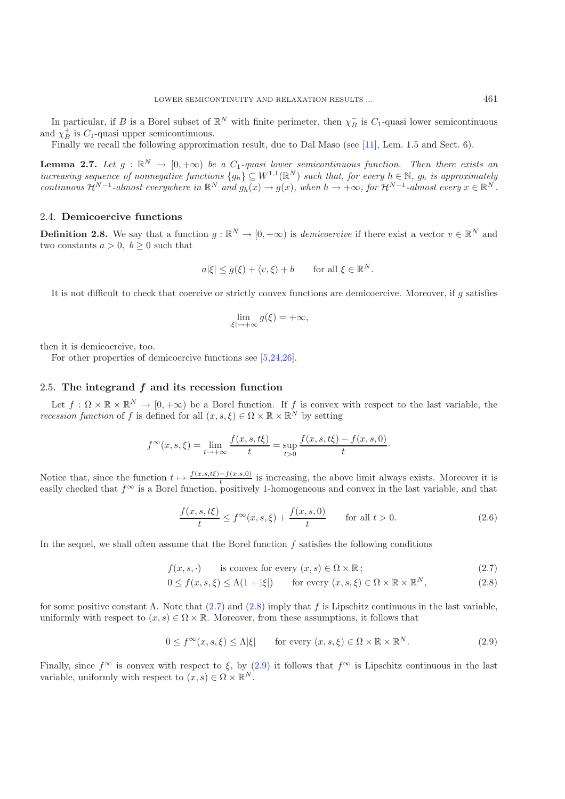In particular, if B is a Borel subset of  $\mathbb{R}^N$  with finite perimeter, then  $\chi_B^-$  is  $C_1$ -quasi lower semicontinuous  $\chi_A^+$  is  $C_1$  quasi upper semicontinuous and  $\chi_B^{\dagger}$  is  $C_1$ -quasi upper semicontinuous.<br>Finally we recall the following approxim

Finally we recall the following approximation result, due to Dal Maso (see [\[11](#page-21-10)], Lem. 1.5 and Sect. 6).

<span id="page-5-3"></span>**Lemma 2.7.** *Let*  $g : \mathbb{R}^N \to [0, +\infty)$  *be a*  $C_1$ *-quasi lower semicontinuous function. Then there exists an* increasing sequence of nonnegative functions  $I_{a,b} \subset W^{1,1}(\mathbb{R}^N)$  such that, for every  $b \in \mathbb{N}$ , as *increasing sequence of nonnegative functions*  $\{g_h\} \subseteq W^{1,1}(\mathbb{R}^N)$  *such that, for every*  $h \in \mathbb{N}$ ,  $g_h$  *is approximately*<br>*continuous*  $\mathcal{H}^{N-1}$ -glanget everywhere in  $\mathbb{R}^N$  and  $g_1(x) \to g(x)$  when  $h \to +\$ *continuous*  $\mathcal{H}^{N-1}$ *-almost everywhere in*  $\mathbb{R}^N$  *and*  $g_h(x) \to g(x)$ *, when*  $h \to +\infty$ *, for*  $\mathcal{H}^{N-1}$ *-almost every*  $x \in \mathbb{R}^N$ *.* 

## 2.4. **Demicoercive functions**

**Definition 2.8.** We say that a function  $g : \mathbb{R}^N \to [0, +\infty)$  is *demicoercive* if there exist a vector  $v \in \mathbb{R}^N$  and two constants  $a > 0$ ,  $b > 0$  such that

$$
a|\xi| \le g(\xi) + \langle v, \xi \rangle + b \quad \text{for all } \xi \in \mathbb{R}^N.
$$

It is not difficult to check that coercive or strictly convex functions are demicoercive. Moreover, if  $g$  satisfies

$$
\lim_{|\xi| \to +\infty} g(\xi) = +\infty,
$$

then it is demicoercive, too.

<span id="page-5-2"></span>For other properties of demicoercive functions see [\[5](#page-21-19)[,24](#page-21-20)[,26\]](#page-21-6).

#### 2.5. **The integrand** *f* **and its recession function**

Let  $f : \Omega \times \mathbb{R} \times \mathbb{R}^N \to [0, +\infty)$  be a Borel function. If f is convex with respect to the last variable, the session function of f is defined for all  $(x, s, \xi) \in \Omega \times \mathbb{R} \times \mathbb{R}^N$  by setting *recession function* of f is defined for all  $(x, s, \xi) \in \Omega \times \mathbb{R} \times \mathbb{R}^N$  by setting

$$
f^{\infty}(x, s, \xi) = \lim_{t \to +\infty} \frac{f(x, s, t\xi)}{t} = \sup_{t > 0} \frac{f(x, s, t\xi) - f(x, s, 0)}{t}.
$$

<span id="page-5-1"></span>Notice that, since the function  $t \mapsto \frac{f(x,s,t\xi)-f(x,s,0)}{t}$  is increasing, the above limit always exists. Moreover it is<br>easily checked that  $f^{\infty}$  is a Borel function positively 1-homogeneous and convex in the last varia easily checked that  $f^{\infty}$  is a Borel function, positively 1-homogeneous and convex in the last variable, and that

$$
\frac{f(x,s,t\xi)}{t} \le f^{\infty}(x,s,\xi) + \frac{f(x,s,0)}{t} \qquad \text{for all } t > 0.
$$
 (2.6)

<span id="page-5-0"></span>In the sequel, we shall often assume that the Borel function f satisfies the following conditions

$$
f(x, s, \cdot) \qquad \text{is convex for every } (x, s) \in \Omega \times \mathbb{R} \, ; \tag{2.7}
$$

$$
0 \le f(x, s, \xi) \le \Lambda(1 + |\xi|) \qquad \text{for every } (x, s, \xi) \in \Omega \times \mathbb{R} \times \mathbb{R}^N, \tag{2.8}
$$

for some positive constant  $\Lambda$ . Note that [\(2.7\)](#page-5-0) and [\(2.8\)](#page-5-0) imply that f is Lipschitz continuous in the last variable, uniformly with respect to  $(x, s) \in \Omega \times \mathbb{R}$ . Moreover, from these assumptions, it follows that

$$
0 \le f^{\infty}(x, s, \xi) \le \Lambda |\xi| \quad \text{for every } (x, s, \xi) \in \Omega \times \mathbb{R} \times \mathbb{R}^N. \tag{2.9}
$$

Finally, since  $f^{\infty}$  is convex with respect to  $\xi$ , by [\(2.9\)](#page-5-1) it follows that  $f^{\infty}$  is Lipschitz continuous in the last variable, uniformly with respect to  $(x, s) \in \Omega \times \mathbb{R}^N$ .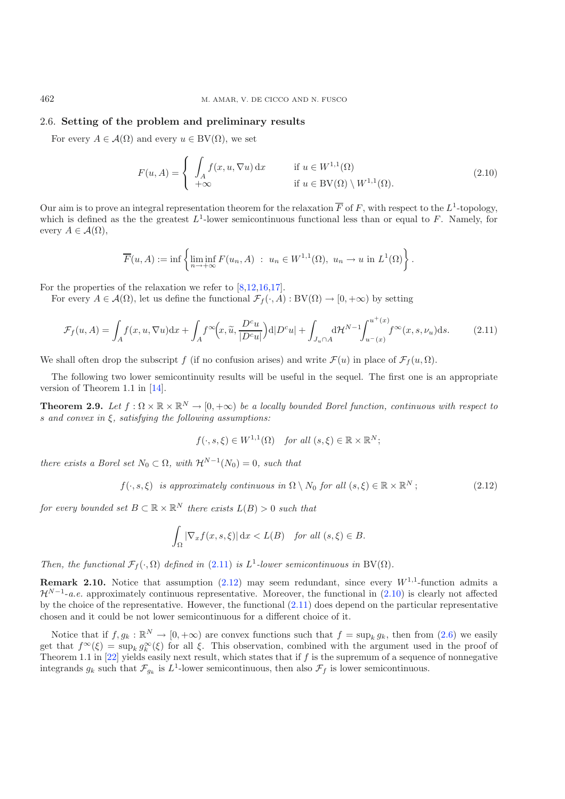## 2.6. **Setting of the problem and preliminary results**

For every  $A \in \mathcal{A}(\Omega)$  and every  $u \in BV(\Omega)$ , we set

$$
F(u, A) = \begin{cases} \int_{A} f(x, u, \nabla u) dx & \text{if } u \in W^{1,1}(\Omega) \\ +\infty & \text{if } u \in BV(\Omega) \setminus W^{1,1}(\Omega). \end{cases}
$$
 (2.10)

<span id="page-6-0"></span>Our aim is to prove an integral representation theorem for the relaxation  $\overline{F}$  of F, with respect to the  $L^1$ -topology, which is defined as the the greatest  $L^1$ -lower semicontinuous functional less than or equal to F. Namely, for every  $A \in \mathcal{A}(\Omega)$ ,

$$
\overline{F}(u, A) := \inf \left\{ \liminf_{n \to +\infty} F(u_n, A) : u_n \in W^{1,1}(\Omega), u_n \to u \text{ in } L^1(\Omega) \right\}.
$$

For the properties of the relaxation we refer to  $[8,12,16,17]$  $[8,12,16,17]$  $[8,12,16,17]$  $[8,12,16,17]$  $[8,12,16,17]$ .

For every  $A \in \mathcal{A}(\Omega)$ , let us define the functional  $\mathcal{F}_f(\cdot, A): BV(\Omega) \to [0, +\infty)$  by setting

$$
\mathcal{F}_f(u, A) = \int_A f(x, u, \nabla u) dx + \int_A f^{\infty}\left(x, \tilde{u}, \frac{D^c u}{|D^c u|}\right) d|D^c u| + \int_{J_u \cap A} d\mathcal{H}^{N-1} \int_{u^-(x)}^{u^+(x)} f^{\infty}(x, s, \nu_u) ds. \tag{2.11}
$$

<span id="page-6-1"></span>We shall often drop the subscript f (if no confusion arises) and write  $\mathcal{F}(u)$  in place of  $\mathcal{F}_f(u,\Omega)$ .

<span id="page-6-3"></span>The following two lower semicontinuity results will be useful in the sequel. The first one is an appropriate version of Theorem 1.1 in [\[14\]](#page-21-8).

**Theorem 2.9.** *Let*  $f : \Omega \times \mathbb{R} \times \mathbb{R}^N \to [0, +\infty)$  *be a locally bounded Borel function, continuous with respect to* s *and convex in* ξ*, satisfying the following assumptions:*

$$
f(\cdot, s, \xi) \in W^{1,1}(\Omega)
$$
 for all  $(s, \xi) \in \mathbb{R} \times \mathbb{R}^N$ ;

*there exists a Borel set*  $N_0 \subset \Omega$ *, with*  $\mathcal{H}^{N-1}(N_0)=0$ *, such that* 

$$
f(\cdot, s, \xi) \text{ is approximately continuous in } \Omega \setminus N_0 \text{ for all } (s, \xi) \in \mathbb{R} \times \mathbb{R}^N; \tag{2.12}
$$

*for every bounded set*  $B \subset \mathbb{R} \times \mathbb{R}^N$  *there exists*  $L(B) > 0$  *such that* 

$$
\int_{\Omega} |\nabla_x f(x, s, \xi)| dx < L(B) \quad \text{for all } (s, \xi) \in B.
$$

*Then, the functional*  $\mathcal{F}_f(\cdot, \Omega)$  *defined in* [\(2.11\)](#page-6-0) *is*  $L^1$ -*lower semicontinuous in* BV( $\Omega$ )*.* 

**Remark 2.10.** Notice that assumption  $(2.12)$  may seem redundant, since every  $W^{1,1}$ -function admits a  $\mathcal{H}^{N-1}$ -*a.e.* approximately continuous representative. Moreover, the functional in [\(2.10\)](#page-6-2) is clearly not affected by the choice of the representative. However, the functional [\(2.11\)](#page-6-0) does depend on the particular representative chosen and it could be not lower semicontinuous for a different choice of it.

<span id="page-6-4"></span>Notice that if  $f, g_k : \mathbb{R}^N \to [0, +\infty)$  are convex functions such that  $f = \sup_k g_k$ , then from  $(2.6)$  we easily get that  $f^{\infty}(\xi) = \sup_k g^{\infty}_k(\xi)$  for all  $\xi$ . This observation, combined with the argument used in the proof of<br>Theorem 1.1 in [22] vields easily next result, which states that if f is the supremum of a sequence of non Theorem 1.1 in [\[22\]](#page-21-5) yields easily next result, which states that if f is the supremum of a sequence of nonnegative integrands  $g_k$  such that  $\mathcal{F}_{g_k}$  is  $L^1$ -lower semicontinuous, then also  $\mathcal{F}_f$  is lower semicontinuous.

<span id="page-6-2"></span>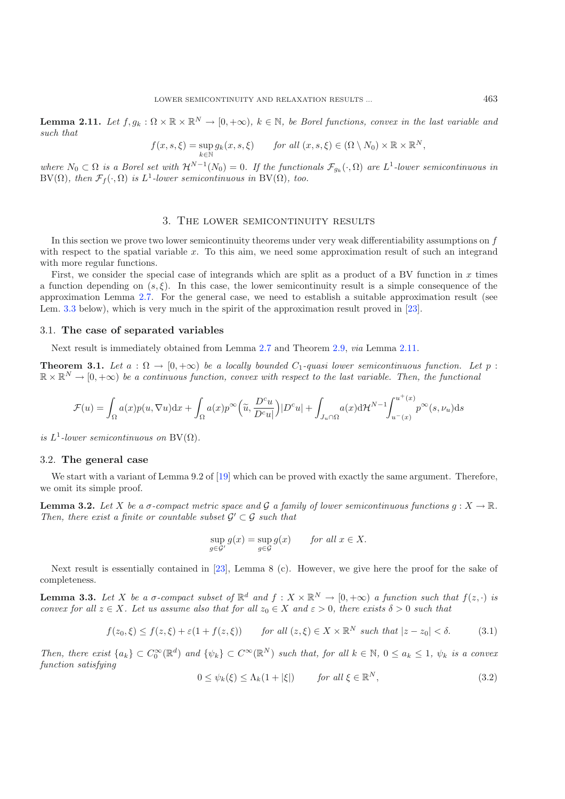**Lemma 2.11.** *Let*  $f, g_k : \Omega \times \mathbb{R} \times \mathbb{R}^N \to [0, +\infty)$ ,  $k \in \mathbb{N}$ , be Borel functions, convex in the last variable and *such that*

$$
f(x, s, \xi) = \sup_{k \in \mathbb{N}} g_k(x, s, \xi) \quad \text{for all } (x, s, \xi) \in (\Omega \setminus N_0) \times \mathbb{R} \times \mathbb{R}^N,
$$

*where*  $N_0 \subset \Omega$  *is a Borel set with*  $\mathcal{H}^{N-1}(N_0) = 0$ *. If the functionals*  $\mathcal{F}_{q_k}(\cdot, \Omega)$  *are*  $L^1$ -*lower semicontinuous in* BV(Ω)*, then*  $\mathcal{F}_f(\cdot, \Omega)$  *is*  $L^1$ *-lower semicontinuous in* BV(Ω)*, too.* 

#### 3. The lower semicontinuity results

In this section we prove two lower semicontinuity theorems under very weak differentiability assumptions on f with respect to the spatial variable x. To this aim, we need some approximation result of such an integrand with more regular functions.

First, we consider the special case of integrands which are split as a product of a BV function in  $x$  times a function depending on  $(s, \xi)$ . In this case, the lower semicontinuity result is a simple consequence of the approximation Lemma [2.7.](#page-5-3) For the general case, we need to establish a suitable approximation result (see Lem. [3.3](#page-7-1) below), which is very much in the spirit of the approximation result proved in [\[23\]](#page-21-7).

### 3.1. **The case of separated variables**

Next result is immediately obtained from Lemma [2.7](#page-5-3) and Theorem [2.9,](#page-6-3) *via* Lemma [2.11.](#page-6-4)

<span id="page-7-0"></span>**Theorem 3.1.** *Let*  $a : \Omega \to [0, +\infty)$  *be a locally bounded*  $C_1$ *-quasi lower semicontinuous function. Let*  $p$ :  $\mathbb{R} \times \mathbb{R}^N \to [0, +\infty)$  be a continuous function, convex with respect to the last variable. Then, the functional

$$
\mathcal{F}(u) = \int_{\Omega} a(x) p(u, \nabla u) dx + \int_{\Omega} a(x) p^{\infty} \left( \tilde{u}, \frac{D^c u}{D^c u} \right) |D^c u| + \int_{J_u \cap \Omega} a(x) d\mathcal{H}^{N-1} \int_{u^-(x)}^{u^+(x)} p^{\infty}(s, \nu_u) ds
$$

*is*  $L^1$ -lower semicontinuous on  $BV(\Omega)$ .

#### <span id="page-7-5"></span>3.2. **The general case**

<span id="page-7-4"></span><span id="page-7-2"></span>We start with a variant of Lemma 9.2 of [\[19](#page-21-4)] which can be proved with exactly the same argument. Therefore, we omit its simple proof.

<span id="page-7-3"></span>**Lemma 3.2.** *Let* X *be a*  $\sigma$ -compact metric space and G a family of lower semicontinuous functions  $g: X \to \mathbb{R}$ . *Then, there exist a finite or countable subset*  $G' \subset G$  *such that* 

$$
\sup_{g \in \mathcal{G}'} g(x) = \sup_{g \in \mathcal{G}} g(x) \quad \text{for all } x \in X.
$$

<span id="page-7-1"></span>Next result is essentially contained in [\[23](#page-21-7)], Lemma 8 (c). However, we give here the proof for the sake of completeness.

**Lemma 3.3.** Let X be a  $\sigma$ -compact subset of  $\mathbb{R}^d$  and  $f: X \times \mathbb{R}^N \to [0, +\infty)$  a function such that  $f(z, \cdot)$  is *convex for all*  $z \in X$ *. Let us assume also that for all*  $z_0 \in X$  *and*  $\varepsilon > 0$ *, there exists*  $\delta > 0$  *such that* 

$$
f(z_0,\xi) \le f(z,\xi) + \varepsilon (1 + f(z,\xi)) \qquad \text{for all } (z,\xi) \in X \times \mathbb{R}^N \text{ such that } |z - z_0| < \delta. \tag{3.1}
$$

*Then, there exist*  $\{a_k\} \subset C_0^{\infty}(\mathbb{R}^d)$  *and*  $\{\psi_k\} \subset C^{\infty}(\mathbb{R}^N)$  *such that, for all*  $k \in \mathbb{N}$ ,  $0 \le a_k \le 1$ ,  $\psi_k$  *is a convex function sotisfying function satisfying*

$$
0 \le \psi_k(\xi) \le \Lambda_k(1+|\xi|) \qquad \text{for all } \xi \in \mathbb{R}^N,
$$
\n(3.2)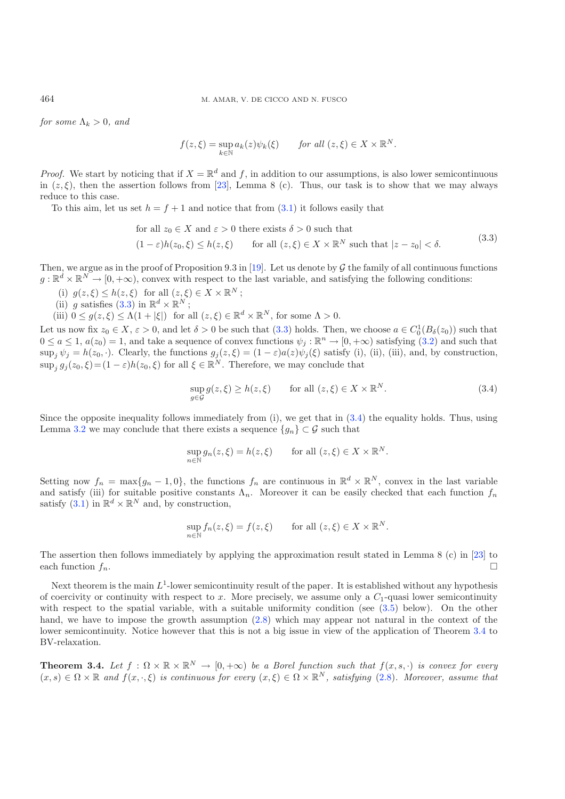*for some*  $\Lambda_k > 0$ *, and* 

$$
f(z,\xi) = \sup_{k \in \mathbb{N}} a_k(z) \psi_k(\xi) \quad \text{for all } (z,\xi) \in X \times \mathbb{R}^N.
$$

*Proof.* We start by noticing that if  $X = \mathbb{R}^d$  and f, in addition to our assumptions, is also lower semicontinuous in  $(z, \xi)$ , then the assertion follows from [\[23\]](#page-21-7), Lemma 8 (c). Thus, our task is to show that we may always reduce to this case.

To this aim, let us set  $h = f + 1$  and notice that from [\(3.1\)](#page-7-2) it follows easily that

for all 
$$
z_0 \in X
$$
 and  $\varepsilon > 0$  there exists  $\delta > 0$  such that  
\n
$$
(1 - \varepsilon)h(z_0, \xi) \le h(z, \xi) \quad \text{for all } (z, \xi) \in X \times \mathbb{R}^N \text{ such that } |z - z_0| < \delta.
$$
\n(3.3)

<span id="page-8-2"></span>Then, we argue as in the proof of Proposition 9.3 in [\[19](#page-21-4)]. Let us denote by  $\mathcal G$  the family of all continuous functions  $g: \mathbb{R}^d \times \mathbb{R}^N \to [0, +\infty)$ , convex with respect to the last variable, and satisfying the following conditions:

- (i)  $g(z,\xi) \leq h(z,\xi)$  for all  $(z,\xi) \in X \times \mathbb{R}^N$ ;
- (ii) g satisfies [\(3.3\)](#page-8-1) in  $\mathbb{R}^d \times \mathbb{R}^N$ ;
- (iii)  $0 \le g(z,\xi) \le \Lambda(1+|\xi|)$  for all  $(z,\xi) \in \mathbb{R}^d \times \mathbb{R}^N$ , for some  $\Lambda > 0$ .

Let us now fix  $z_0 \in X$ ,  $\varepsilon > 0$ , and let  $\delta > 0$  be such that  $(3.3)$  holds. Then, we choose  $a \in C_0^1(B_\delta(z_0))$  such that  $0 \le a \le 1$ ,  $g(z_0) = 1$ , and take a sequence of convex functions  $\psi \in \mathbb{R}^n \to [0, +\infty)$  satisfyin  $0 \le a \le 1$ ,  $a(z_0) = 1$ , and take a sequence of convex functions  $\psi_j : \mathbb{R}^n \to [0, +\infty)$  satisfying  $(3.2)$  and such that  $\sup_j \psi_j = h(z_0, \cdot)$ . Clearly, the functions  $g_j(z, \xi) = (1 - \varepsilon)a(z)\psi_j(\xi)$  satisfy (i), (ii), (iii), and, by construction,  $\sup_j g_j(z_0,\xi)=(1-\varepsilon)h(z_0,\xi)$  for all  $\xi \in \mathbb{R}^N$ . Therefore, we may conclude that

$$
\sup_{g \in \mathcal{G}} g(z,\xi) \ge h(z,\xi) \qquad \text{for all } (z,\xi) \in X \times \mathbb{R}^N. \tag{3.4}
$$

Since the opposite inequality follows immediately from  $(i)$ , we get that in  $(3.4)$  the equality holds. Thus, using Lemma [3.2](#page-7-4) we may conclude that there exists a sequence  $\{g_n\} \subset \mathcal{G}$  such that

$$
\sup_{n \in \mathbb{N}} g_n(z, \xi) = h(z, \xi) \quad \text{for all } (z, \xi) \in X \times \mathbb{R}^N.
$$

Setting now  $f_n = \max\{g_n - 1, 0\}$ , the functions  $f_n$  are continuous in  $\mathbb{R}^d \times \mathbb{R}^N$ , convex in the last variable and satisfy (iii) for suitable positive constants  $\Lambda_n$ . Moreover it can be easily checked that each function  $f_n$ satisfy [\(3.1\)](#page-7-2) in  $\mathbb{R}^d \times \mathbb{R}^N$  and, by construction,

$$
\sup_{n \in \mathbb{N}} f_n(z, \xi) = f(z, \xi) \quad \text{for all } (z, \xi) \in X \times \mathbb{R}^N.
$$

The assertion then follows immediately by applying the approximation result stated in Lemma 8 (c) in [\[23\]](#page-21-7) to each function  $f_n$ .

Next theorem is the main  $L^1$ -lower semicontinuity result of the paper. It is established without any hypothesis of coercivity or continuity with respect to x. More precisely, we assume only a  $C_1$ -quasi lower semicontinuity with respect to the spatial variable, with a suitable uniformity condition (see  $(3.5)$  below). On the other hand, we have to impose the growth assumption  $(2.8)$  which may appear not natural in the context of the lower semicontinuity. Notice however that this is not a big issue in view of the application of Theorem [3.4](#page-8-0) to BV-relaxation.

<span id="page-8-0"></span>**Theorem 3.4.** *Let*  $f : \Omega \times \mathbb{R} \times \mathbb{R}^N \to [0, +\infty)$  *be a Borel function such that*  $f(x, s, \cdot)$  *is convex for every*  $(x, s) \in \Omega \times \mathbb{R}$  and  $f(x, \cdot, \xi)$  is continuous for every  $(x, \xi) \in \Omega \times \mathbb{R}^N$ , satisfying  $(2.8)$ . Moreover, assume that

<span id="page-8-1"></span>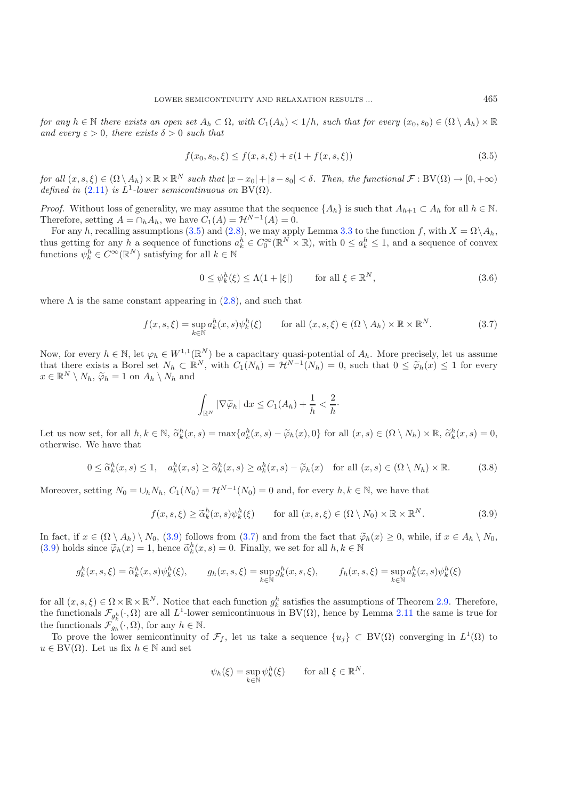<span id="page-9-4"></span><span id="page-9-0"></span>*for any*  $h \in \mathbb{N}$  *there exists an open set*  $A_h \subset \Omega$ *, with*  $C_1(A_h) < 1/h$ *, such that for every*  $(x_0, s_0) \in (\Omega \setminus A_h) \times \mathbb{R}$ *and every*  $\varepsilon > 0$ *, there exists*  $\delta > 0$  *such that* 

$$
f(x_0, s_0, \xi) \le f(x, s, \xi) + \varepsilon (1 + f(x, s, \xi))
$$
\n(3.5)

<span id="page-9-2"></span>*for all*  $(x, s, \xi) \in (\Omega \setminus A_h) \times \mathbb{R} \times \mathbb{R}^N$  *such that*  $|x - x_0| + |s - s_0| < \delta$ . Then, the functional  $\mathcal{F}: BV(\Omega) \to [0, +\infty)$ *defined in* [\(2.11\)](#page-6-0) *is*  $L^1$ -*lower semicontinuous on* BV( $\Omega$ ).

*Proof.* Without loss of generality, we may assume that the sequence  $\{A_h\}$  is such that  $A_{h+1} \subset A_h$  for all  $h \in \mathbb{N}$ . Therefore, setting  $A = \bigcap_h A_h$ , we have  $C_1(A) = \mathcal{H}^{N-1}(A) = 0$ .

For any h, recalling assumptions [\(3.5\)](#page-9-0) and [\(2.8\)](#page-5-0), we may apply Lemma [3.3](#page-7-1) to the function f, with  $X = \Omega \setminus A_h$ ,<br>is getting for any h a sequence of functions  $a^h \in C^{\infty}(\mathbb{R}^N \times \mathbb{R})$  with  $0 \le a^h \le 1$  and a sequence of thus getting for any h a sequence of functions  $a_k^h \in C_0^{\infty}(\mathbb{R}^N \times \mathbb{R})$ , with  $0 \le a_k^h \le 1$ , and a sequence of convex functions  $a_k^h \in C^{\infty}(\mathbb{R}^N)$  satisfying for all  $k \in \mathbb{N}$ functions  $\psi_k^h \in C^\infty(\mathbb{R}^N)$  satisfying for all  $k \in \mathbb{N}$ 

$$
0 \le \psi_k^h(\xi) \le \Lambda(1 + |\xi|) \qquad \text{for all } \xi \in \mathbb{R}^N,
$$
\n(3.6)

<span id="page-9-3"></span>where  $\Lambda$  is the same constant appearing in  $(2.8)$ , and such that

$$
f(x, s, \xi) = \sup_{k \in \mathbb{N}} a_k^h(x, s) \psi_k^h(\xi) \qquad \text{for all } (x, s, \xi) \in (\Omega \setminus A_h) \times \mathbb{R} \times \mathbb{R}^N. \tag{3.7}
$$

<span id="page-9-1"></span>Now, for every  $h \in \mathbb{N}$ , let  $\varphi_h \in W^{1,1}(\mathbb{R}^N)$  be a capacitary quasi-potential of  $A_h$ . More precisely, let us assume that there exists a Borel set  $N_h \subset \mathbb{R}^N$ , with  $C_1(N_h) = \mathcal{H}^{N-1}(N_h) = 0$ , such that  $0 \leq \tilde{\varphi}_h(x) \leq 1$  for every  $x \in \mathbb{R}^N \setminus N_h$ ,  $\widetilde{\varphi}_h = 1$  on  $A_h \setminus N_h$  and

$$
\int_{\mathbb{R}^N} |\nabla \widetilde{\varphi}_h| \, \mathrm{d}x \le C_1(A_h) + \frac{1}{h} < \frac{2}{h}.
$$

Let us now set, for all  $h, k \in \mathbb{N}$ ,  $\tilde{\alpha}_k^h(x, s) = \max\{a_k^h(x, s) - \tilde{\varphi}_h(x), 0\}$  for all  $(x, s) \in (\Omega \setminus N_h) \times \mathbb{R}$ ,  $\tilde{\alpha}_k^h(x, s) = 0$ , otherwise. We have that otherwise. We have that

$$
0 \le \widetilde{\alpha}_k^h(x,s) \le 1, \quad a_k^h(x,s) \ge \widetilde{\alpha}_k^h(x,s) \ge a_k^h(x,s) - \widetilde{\varphi}_h(x) \quad \text{for all } (x,s) \in (\Omega \setminus N_h) \times \mathbb{R}.\tag{3.8}
$$

Moreover, setting  $N_0 = \bigcup_h N_h$ ,  $C_1(N_0) = \mathcal{H}^{N-1}(N_0) = 0$  and, for every  $h, k \in \mathbb{N}$ , we have that

$$
f(x, s, \xi) \ge \tilde{\alpha}_k^h(x, s)\psi_k^h(\xi) \qquad \text{for all } (x, s, \xi) \in (\Omega \setminus N_0) \times \mathbb{R} \times \mathbb{R}^N. \tag{3.9}
$$

In fact, if  $x \in (\Omega \setminus A_h) \setminus N_0$ , [\(3.9\)](#page-9-1) follows from [\(3.7\)](#page-9-2) and from the fact that  $\tilde{\varphi}_h(x) \geq 0$ , while, if  $x \in A_h \setminus N_0$ , [\(3.9\)](#page-9-1) holds since  $\tilde{\varphi}_h(x) = 1$ , hence  $\tilde{\alpha}_k^h(x, s) = 0$ . Finally, we set for all  $h, k \in \mathbb{N}$ 

$$
g_k^h(x, s, \xi) = \tilde{\alpha}_k^h(x, s)\psi_k^h(\xi), \qquad g_h(x, s, \xi) = \sup_{k \in \mathbb{N}} g_k^h(x, s, \xi), \qquad f_h(x, s, \xi) = \sup_{k \in \mathbb{N}} a_k^h(x, s)\psi_k^h(\xi)
$$

for all  $(x, s, \xi) \in \Omega \times \mathbb{R} \times \mathbb{R}^N$ . Notice that each function  $g_k^h$  satisfies the assumptions of Theorem [2.9.](#page-6-3) Therefore, the functionals  $\mathcal{F}_{k+1}(\cdot, \Omega)$  are all  $L^1$ -lower semicontinuous in  $BV(\Omega)$  hence by Lemma the functionals  $\mathcal{F}_{g_h^h}(\cdot, \Omega)$  are all  $L^1$ -lower semicontinuous in BV( $\Omega$ ), hence by Lemma [2.11](#page-6-4) the same is true for<br>the functionals  $\mathcal{F}_h(\cdot, \Omega)$  for any  $h \in \mathbb{N}$ the functionals  $\mathcal{F}_{g_h}(\cdot, \Omega)$ , for any  $h \in \mathbb{N}$ .

To prove the lower semicontinuity of  $\mathcal{F}_f$ , let us take a sequence  $\{u_j\} \subset BV(\Omega)$  converging in  $L^1(\Omega)$  to  $u \in BV(\Omega)$ . Let us fix  $h \in \mathbb{N}$  and set

$$
\psi_h(\xi) = \sup_{k \in \mathbb{N}} \psi_k^h(\xi) \quad \text{for all } \xi \in \mathbb{R}^N.
$$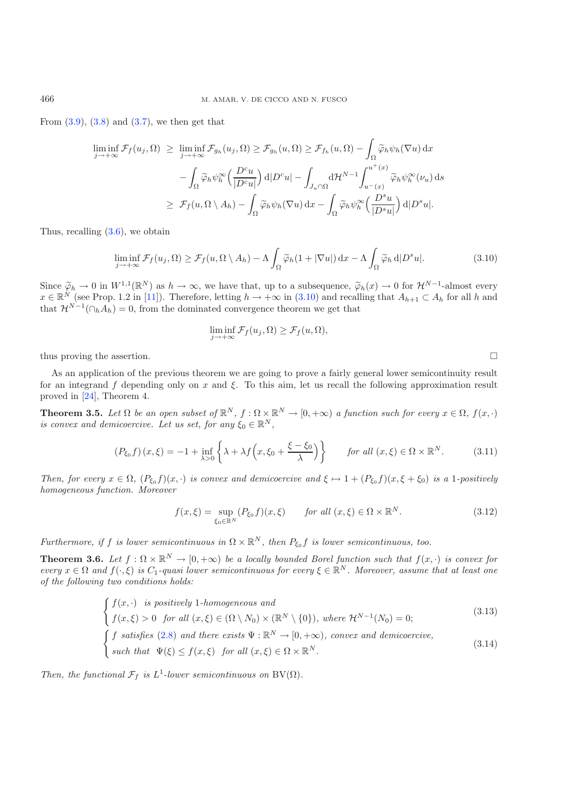<span id="page-10-1"></span>From  $(3.9)$ ,  $(3.8)$  and  $(3.7)$ , we then get that

$$
\liminf_{j \to +\infty} \mathcal{F}_f(u_j, \Omega) \ge \liminf_{j \to +\infty} \mathcal{F}_{g_h}(u_j, \Omega) \ge \mathcal{F}_{g_h}(u, \Omega) \ge \mathcal{F}_{f_h}(u, \Omega) - \int_{\Omega} \widetilde{\varphi}_h \psi_h(\nabla u) \, dx \n- \int_{\Omega} \widetilde{\varphi}_h \psi_h^{\infty} \left( \frac{D^c u}{|D^c u|} \right) d|D^c u| - \int_{J_u \cap \Omega} d\mathcal{H}^{N-1} \int_{u^-(x)}^{u^+(x)} \widetilde{\varphi}_h \psi_h^{\infty}(\nu_u) \, ds \n\ge \mathcal{F}_f(u, \Omega \setminus A_h) - \int_{\Omega} \widetilde{\varphi}_h \psi_h(\nabla u) \, dx - \int_{\Omega} \widetilde{\varphi}_h \psi_h^{\infty} \left( \frac{D^s u}{|D^s u|} \right) d|D^s u|.
$$

Thus, recalling [\(3.6\)](#page-9-4), we obtain

$$
\liminf_{j \to +\infty} \mathcal{F}_f(u_j, \Omega) \ge \mathcal{F}_f(u, \Omega \setminus A_h) - \Lambda \int_{\Omega} \widetilde{\varphi}_h(1 + |\nabla u|) \, \mathrm{d}x - \Lambda \int_{\Omega} \widetilde{\varphi}_h \, \mathrm{d}|D^s u|.
$$
\n(3.10)

<span id="page-10-4"></span>Since  $\widetilde{\varphi}_h \to 0$  in  $W^{1,1}(\mathbb{R}^N)$  as  $h \to \infty$ , we have that, up to a subsequence,  $\widetilde{\varphi}_h(x) \to 0$  for  $\mathcal{H}^{N-1}$ -almost every  $x \in \mathbb{R}^N$  (see Prop. 1.2 in [11]). Therefore, letting  $h \to +\infty$  in (3.10) and  $x \in \mathbb{R}^N$  (see Prop. 1.2 in [\[11\]](#page-21-10)). Therefore, letting  $h \to +\infty$  in [\(3.10\)](#page-10-1) and recalling that  $A_{h+1} \subset A_h$  for all h and that  $\mathcal{H}^{N-1}(\bigcirc, A_1) = 0$  from the dominated convergence theorem we get that that  $\mathcal{H}^{N-1}(\bigcap_h A_h) = 0$ , from the dominated convergence theorem we get that

$$
\liminf_{j \to +\infty} \mathcal{F}_f(u_j, \Omega) \ge \mathcal{F}_f(u, \Omega),
$$

thus proving the assertion.  $\square$ 

<span id="page-10-6"></span>As an application of the previous theorem we are going to prove a fairly general lower semicontinuity result for an integrand f depending only on x and  $\xi$ . To this aim, let us recall the following approximation result proved in [\[24\]](#page-21-20), Theorem 4.

<span id="page-10-5"></span>**Theorem 3.5.** Let  $\Omega$  be an open subset of  $\mathbb{R}^N$ ,  $f : \Omega \times \mathbb{R}^N \to [0, +\infty)$  a function such for every  $x \in \Omega$ ,  $f(x, \cdot)$ <br>is convex and demicoexcive. Let us set, for any  $\xi \in \mathbb{R}^N$ *is convex and demicoercive. Let us set, for any*  $\xi_0 \in \mathbb{R}^N$ ,

$$
(P_{\xi_0}f)(x,\xi) = -1 + \inf_{\lambda > 0} \left\{ \lambda + \lambda f\left(x,\xi_0 + \frac{\xi - \xi_0}{\lambda}\right) \right\} \quad \text{for all } (x,\xi) \in \Omega \times \mathbb{R}^N. \tag{3.11}
$$

*Then, for every*  $x \in \Omega$ ,  $(P_{\xi_0} f)(x, \cdot)$  *is convex and demicoercive and*  $\xi \mapsto 1 + (P_{\xi_0} f)(x, \xi + \xi_0)$  *is a* 1*-positively homogeneous function. Moreover*

$$
f(x,\xi) = \sup_{\xi_0 \in \mathbb{R}^N} (P_{\xi_0} f)(x,\xi) \qquad \text{for all } (x,\xi) \in \Omega \times \mathbb{R}^N. \tag{3.12}
$$

*Furthermore, if* f *is lower semicontinuous in*  $\Omega \times \mathbb{R}^N$ *, then*  $P_{\xi_0} f$  *is lower semicontinuous, too.* 

<span id="page-10-0"></span>**Theorem 3.6.** *Let*  $f : \Omega \times \mathbb{R}^N \to [0, +\infty)$  *be a locally bounded Borel function such that*  $f(x, \cdot)$  *is convex for every*  $x \in \Omega$  *and*  $f(\cdot, \xi)$  *is*  $C_1$ *-quasi lower semicontinuous for every*  $\xi \in \mathbb{R}^N$ *. Moreover, assume that at least one of the following two conditions holds:*

$$
\begin{cases}\nf(x, \cdot) & \text{is positively 1-homogeneous and} \\
f(x, \xi) > 0 \quad \text{for all } (x, \xi) \in (\Omega \setminus N_0) \times (\mathbb{R}^N \setminus \{0\}), \text{ where } \mathcal{H}^{N-1}(N_0) = 0; \\
f \text{ satisfies (2.8) and there exists } \Psi : \mathbb{R}^N \to [0, +\infty), \text{ convex and demicoercive,} \\
\text{such that } \Psi(\xi) \le f(x, \xi) & \text{for all } (x, \xi) \in \Omega \times \mathbb{R}^N.\n\end{cases}\n\tag{3.14}
$$

*Then, the functional*  $\mathcal{F}_f$  *is*  $L^1$ *-lower semicontinuous on*  $BV(\Omega)$ *.* 

<span id="page-10-3"></span><span id="page-10-2"></span>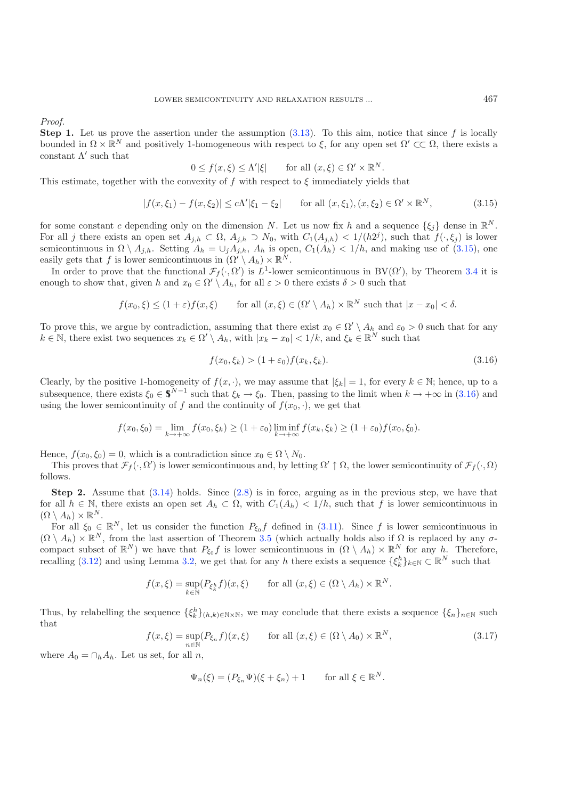<span id="page-11-0"></span>*Proof.*

**Step 1.** Let us prove the assertion under the assumption  $(3.13)$ . To this aim, notice that since f is locally bounded in  $\Omega \times \mathbb{R}^N$  and positively 1-homogeneous with respect to  $\xi$ , for any open set  $\Omega' \subset\subset \Omega$ , there exists a constant  $\Lambda'$  such that

$$
0 \le f(x,\xi) \le \Lambda'|\xi| \qquad \text{for all } (x,\xi) \in \Omega' \times \mathbb{R}^N.
$$

This estimate, together with the convexity of f with respect to  $\xi$  immediately yields that

<span id="page-11-1"></span>
$$
|f(x,\xi_1) - f(x,\xi_2)| \le c\Lambda'|\xi_1 - \xi_2| \qquad \text{for all } (x,\xi_1), (x,\xi_2) \in \Omega' \times \mathbb{R}^N,
$$
 (3.15)

for some constant c depending only on the dimension N. Let us now fix h and a sequence  $\{\xi_i\}$  dense in  $\mathbb{R}^N$ . For all j there exists an open set  $A_{j,h} \subset \Omega$ ,  $A_{j,h} \supset N_0$ , with  $C_1(A_{j,h}) < 1/(h2^j)$ , such that  $f(\cdot,\xi_j)$  is lower semicontinuous in  $\Omega \setminus A_{j,h}$ . Setting  $A_h = \bigcup_j A_{j,h}$ ,  $A_h$  is open,  $C_1(A_h) < 1/h$ , and making use of [\(3.15\)](#page-11-0), one easily gets that f is lower semicontinuous in  $(\Omega' \setminus A_h) \times \mathbb{R}^N$ .

In order to prove that the functional  $\mathcal{F}_f(\cdot, \Omega')$  is  $L^1$ -lower semicontinuous in  $BV(\Omega')$ , by Theorem [3.4](#page-8-0) it is puck to show that given h and  $x \in \Omega' \setminus A$ , for all  $\varepsilon > 0$  there exists  $\delta > 0$  such that enough to show that, given h and  $x_0 \in \Omega' \setminus A_h$ , for all  $\varepsilon > 0$  there exists  $\delta > 0$  such that

$$
f(x_0,\xi) \le (1+\varepsilon)f(x,\xi)
$$
 for all  $(x,\xi) \in (\Omega' \setminus A_h) \times \mathbb{R}^N$  such that  $|x-x_0| < \delta$ .

To prove this, we argue by contradiction, assuming that there exist  $x_0 \in \Omega' \setminus A_h$  and  $\varepsilon_0 > 0$  such that for any  $k \in \mathbb{N}$ , there exist two sequences  $x_k \in \Omega' \setminus A_h$ , with  $|x_k - x_0| < 1/k$ , and  $\xi_k \in \mathbb{R}^N$  such that

$$
f(x_0, \xi_k) > (1 + \varepsilon_0) f(x_k, \xi_k). \tag{3.16}
$$

Clearly, by the positive 1-homogeneity of  $f(x, \cdot)$ , we may assume that  $|\xi_k| = 1$ , for every  $k \in \mathbb{N}$ ; hence, up to a subsequence, there exists  $\xi_0 \in \mathbb{S}^{N-1}$  such that  $\xi_k \to \xi_0$ . Then, passing to the limit when  $k \to +\infty$  in [\(3.16\)](#page-11-1) and using the lower semicontinuity of f and the continuity of  $f(x_0, \cdot)$ , we get that

$$
f(x_0,\xi_0)=\lim_{k\to+\infty}f(x_0,\xi_k)\geq (1+\varepsilon_0)\liminf_{k\to+\infty}f(x_k,\xi_k)\geq (1+\varepsilon_0)f(x_0,\xi_0).
$$

Hence,  $f(x_0, \xi_0) = 0$ , which is a contradiction since  $x_0 \in \Omega \setminus N_0$ .

This proves that  $\mathcal{F}_f(\cdot, \Omega')$  is lower semicontinuous and, by letting  $\Omega' \uparrow \Omega$ , the lower semicontinuity of  $\mathcal{F}_f(\cdot, \Omega)$ follows.

<span id="page-11-2"></span>**Step 2.** Assume that  $(3.14)$  holds. Since  $(2.8)$  is in force, arguing as in the previous step, we have that for all  $h \in \mathbb{N}$ , there exists an open set  $A_h \subset \Omega$ , with  $C_1(A_h) < 1/h$ , such that f is lower semicontinuous in  $(\Omega \setminus A_h) \times \mathbb{R}^N$ .

For all  $\xi_0 \in \mathbb{R}^N$ , let us consider the function  $P_{\xi_0} f$  defined in [\(3.11\)](#page-10-4). Since f is lower semicontinuous in  $(\Omega \setminus A_h) \times \mathbb{R}^N$ , from the last assertion of Theorem [3.5](#page-10-5) (which actually holds also if  $\Omega$  is replaced by any  $\sigma$ compact subset of  $\mathbb{R}^N$ ) we have that  $P_{\xi_0} f$  is lower semicontinuous in  $(\Omega \setminus A_h) \times \mathbb{R}^N$  for any h. Therefore, recalling (3.12) and using Lamma 3.2, we get that for any h there exists a sequence  $\{f_h\}_{h \in \mathbb$ recalling [\(3.12\)](#page-10-6) and using Lemma [3.2,](#page-7-4) we get that for any h there exists a sequence  $\{\xi_k^h\}_{k\in\mathbb{N}}\subset\mathbb{R}^N$  such that

$$
f(x,\xi) = \sup_{k \in \mathbb{N}} (P_{\xi_k^h} f)(x,\xi) \quad \text{for all } (x,\xi) \in (\Omega \setminus A_h) \times \mathbb{R}^N.
$$

Thus, by relabelling the sequence  $\{\xi_k^h\}_{(h,k)\in\mathbb{N}\times\mathbb{N}}$ , we may conclude that there exists a sequence  $\{\xi_n\}_{n\in\mathbb{N}}$  such that

$$
f(x,\xi) = \sup_{n \in \mathbb{N}} (P_{\xi_n} f)(x,\xi) \qquad \text{for all } (x,\xi) \in (\Omega \setminus A_0) \times \mathbb{R}^N,
$$
 (3.17)

where  $A_0 = \bigcap_h A_h$ . Let us set, for all n,

$$
\Psi_n(\xi) = (P_{\xi_n}\Psi)(\xi + \xi_n) + 1 \quad \text{for all } \xi \in \mathbb{R}^N.
$$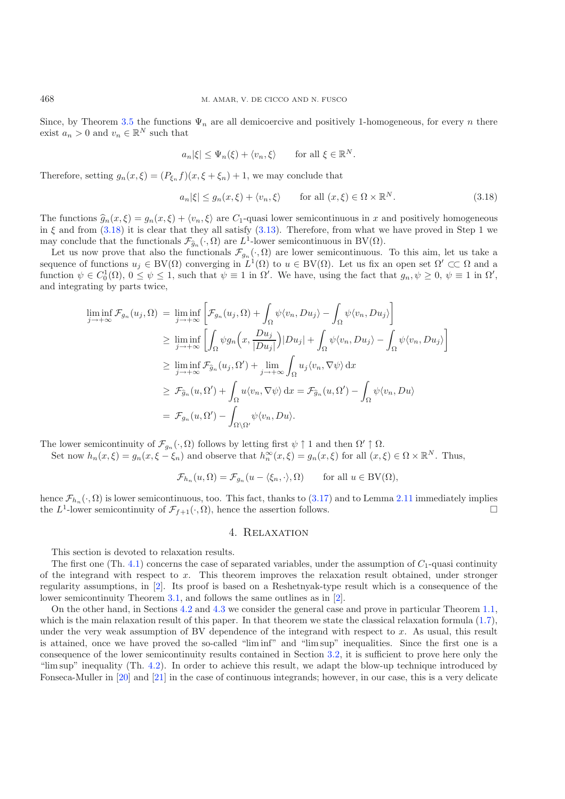Since, by Theorem [3.5](#page-10-5) the functions  $\Psi_n$  are all demicoercive and positively 1-homogeneous, for every n there exist  $a_n > 0$  and  $v_n \in \mathbb{R}^N$  such that

$$
a_n|\xi| \leq \Psi_n(\xi) + \langle v_n, \xi \rangle
$$
 for all  $\xi \in \mathbb{R}^N$ .

Therefore, setting  $g_n(x, \xi)=(P_{\xi_n} f)(x, \xi+\xi_n)+1$ , we may conclude that

$$
a_n|\xi| \le g_n(x,\xi) + \langle v_n, \xi \rangle \qquad \text{for all } (x,\xi) \in \Omega \times \mathbb{R}^N. \tag{3.18}
$$

The functions  $\hat{g}_n(x,\xi) = g_n(x,\xi) + \langle v_n, \xi \rangle$  are  $C_1$ -quasi lower semicontinuous in x and positively homogeneous in  $\xi$  and from [\(3.18\)](#page-12-0) it is clear that they all satisfy [\(3.13\)](#page-10-2). Therefore, from what we have proved in Step 1 we may conclude that the functionals  $\mathcal{F}_{\hat{g}_n}(\cdot, \Omega)$  are  $L^1$ -lower semicontinuous in BV( $\Omega$ ).

Let us now prove that also the functionals  $\mathcal{F}_{g_n}(\cdot, \Omega)$  are lower semicontinuous. To this aim, let us take a sequence of functions  $u_j \in BV(\Omega)$  converging in  $L^1(\Omega)$  to  $u \in BV(\Omega)$ . Let us fix an open set  $\Omega' \subset\subset \Omega$  and a function  $\psi \in C_0^1(\Omega)$ ,  $0 \le \psi \le 1$ , such that  $\psi \equiv 1$  in  $\Omega'$ . We have, using the fact that  $g_n, \psi \ge 0$ ,  $\psi \equiv 1$  in  $\Omega'$ , and integrating by parts twice and integrating by parts twice,

$$
\liminf_{j \to +\infty} \mathcal{F}_{g_n}(u_j, \Omega) = \liminf_{j \to +\infty} \left[ \mathcal{F}_{g_n}(u_j, \Omega) + \int_{\Omega} \psi \langle v_n, Du_j \rangle - \int_{\Omega} \psi \langle v_n, Du_j \rangle \right]
$$
\n
$$
\geq \liminf_{j \to +\infty} \left[ \int_{\Omega} \psi g_n \left( x, \frac{Du_j}{|Du_j|} \right) |Du_j| + \int_{\Omega} \psi \langle v_n, Du_j \rangle - \int_{\Omega} \psi \langle v_n, Du_j \rangle \right]
$$
\n
$$
\geq \liminf_{j \to +\infty} \mathcal{F}_{\widehat{g}_n}(u_j, \Omega') + \lim_{j \to +\infty} \int_{\Omega} u_j \langle v_n, \nabla \psi \rangle \, \mathrm{d}x
$$
\n
$$
\geq \mathcal{F}_{\widehat{g}_n}(u, \Omega') + \int_{\Omega} u \langle v_n, \nabla \psi \rangle \, \mathrm{d}x = \mathcal{F}_{\widehat{g}_n}(u, \Omega') - \int_{\Omega} \psi \langle v_n, Du \rangle
$$
\n
$$
= \mathcal{F}_{g_n}(u, \Omega') - \int_{\Omega \setminus \Omega'} \psi \langle v_n, Du \rangle.
$$

The lower semicontinuity of  $\mathcal{F}_{g_n}(\cdot, \Omega)$  follows by letting first  $\psi \uparrow 1$  and then  $\Omega' \uparrow \Omega$ .<br>Sot now  $h$   $(x, \xi) = g(x, \xi - \xi)$  and observe that  $h^{\infty}(x, \xi) = g(x, \xi)$  for all  $(x, \xi)$ 

Set now  $h_n(x,\xi) = g_n(x,\xi - \xi_n)$  and observe that  $h_n^{\infty}(x,\xi) = g_n(x,\xi)$  for all  $(x,\xi) \in \Omega \times \mathbb{R}^N$ . Thus,

$$
\mathcal{F}_{h_n}(u,\Omega) = \mathcal{F}_{g_n}(u - \langle \xi_n, \cdot \rangle, \Omega) \quad \text{for all } u \in BV(\Omega),
$$

hence  $\mathcal{F}_{h_n}(\cdot, \Omega)$  is lower semicontinuous, too. This fact, thanks to [\(3.17\)](#page-11-2) and to Lemma [2.11](#page-6-4) immediately implies the  $L^1$ -lower semicontinuity of  $\mathcal{F}_{\ell+1}(\cdot, \Omega)$ , hence the assertion follows. the  $L^1$ -lower semicontinuity of  $\mathcal{F}_{f+1}(\cdot, \Omega)$ , hence the assertion follows.

### 4. Relaxation

This section is devoted to relaxation results.

The first one (Th. [4.1\)](#page-13-0) concerns the case of separated variables, under the assumption of  $C_1$ -quasi continuity of the integrand with respect to x. This theorem improves the relaxation result obtained, under stronger regularity assumptions, in [\[2\]](#page-21-0). Its proof is based on a Reshetnyak-type result which is a consequence of the lower semicontinuity Theorem [3.1,](#page-7-0) and follows the same outlines as in [\[2\]](#page-21-0).

On the other hand, in Sections [4.2](#page-14-1) and [4.3](#page-20-0) we consider the general case and prove in particular Theorem [1.1,](#page-2-0) which is the main relaxation result of this paper. In that theorem we state the classical relaxation formula  $(1.7)$ , under the very weak assumption of BV dependence of the integrand with respect to  $x$ . As usual, this result is attained, once we have proved the so-called "lim inf" and "lim sup" inequalities. Since the first one is a consequence of the lower semicontinuity results contained in Section [3.2,](#page-7-5) it is sufficient to prove here only the "lim sup" inequality (Th. [4.2\)](#page-14-0). In order to achieve this result, we adapt the blow-up technique introduced by Fonseca-Muller in [\[20\]](#page-21-13) and [\[21\]](#page-21-14) in the case of continuous integrands; however, in our case, this is a very delicate

<span id="page-12-0"></span>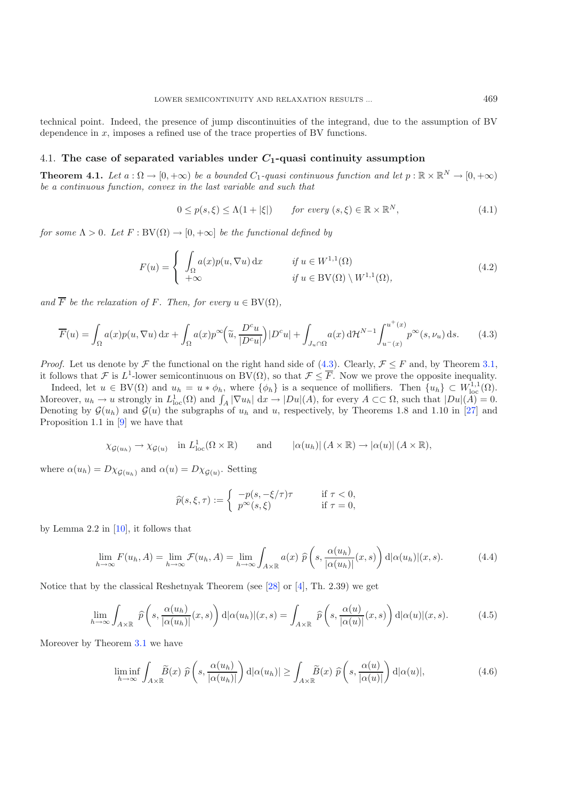technical point. Indeed, the presence of jump discontinuities of the integrand, due to the assumption of BV dependence in x, imposes a refined use of the trace properties of BV functions.

## <span id="page-13-0"></span>4.1. **The case of separated variables under** *C***1-quasi continuity assumption**

<span id="page-13-1"></span>**Theorem 4.1.** *Let*  $a : \Omega \to [0, +\infty)$  *be a bounded*  $C_1$ *-quasi continuous function and let*  $p : \mathbb{R} \times \mathbb{R}^N \to [0, +\infty)$ *be a continuous function, convex in the last variable and such that*

$$
0 \le p(s,\xi) \le \Lambda(1+|\xi|) \qquad \text{for every } (s,\xi) \in \mathbb{R} \times \mathbb{R}^N, \tag{4.1}
$$

*for some*  $\Lambda > 0$ *. Let*  $F : BV(\Omega) \to [0, +\infty]$  *be the functional defined by* 

$$
F(u) = \begin{cases} \int_{\Omega} a(x) p(u, \nabla u) dx & \text{if } u \in W^{1,1}(\Omega) \\ +\infty & \text{if } u \in BV(\Omega) \setminus W^{1,1}(\Omega), \end{cases}
$$
(4.2)

*and*  $\overline{F}$  *be the relaxation of*  $F$ *. Then, for every*  $u \in BV(\Omega)$ *,* 

$$
\overline{F}(u) = \int_{\Omega} a(x) p(u, \nabla u) dx + \int_{\Omega} a(x) p^{\infty} \left(\tilde{u}, \frac{D^c u}{|D^c u|}\right) |D^c u| + \int_{J_u \cap \Omega} a(x) d\mathcal{H}^{N-1} \int_{u^-(x)}^{u^+(x)} p^{\infty}(s, \nu_u) ds. \tag{4.3}
$$

*Proof.* Let us denote by  $\mathcal F$  the functional on the right hand side of [\(4.3\)](#page-13-1). Clearly,  $\mathcal F \leq F$  and, by Theorem [3.1,](#page-7-0) it follows that F is L<sup>1</sup>-lower semicontinuous on BV( $\Omega$ ), so that  $\mathcal{F} \leq \overline{F}$ . Now we prove the opposite inequality.

<span id="page-13-4"></span>Indeed, let  $u \in BV(\Omega)$  and  $u_h = u * \phi_h$ , where  $\{\phi_h\}$  is a sequence of mollifiers. Then  $\{u_h\} \subset W^{1,1}_{loc}(\Omega)$ .<br>prover  $u_t \to u$  strongly in  $L^1(\Omega)$  and  $\int \nabla u_t \, dx \to D\tilde{u}(A)$  for every  $A \subset \Omega$  such that  $|Du|(A) = 0$ . Moreover,  $u_h \to u$  strongly in  $L^1_{loc}(\Omega)$  and  $\int_A |\nabla u_h| dx \to |Du|(A)$ , for every  $A \subset\subset \Omega$ , such that  $|Du|(A) = 0$ .<br>Denoting by  $G(u_1)$  and  $G(u_2)$  the subgraphs of  $u_1$  and  $u_2$  respectively by Theorems 1.8 and 1.10 in [27] Denoting by  $\mathcal{G}(u_h)$  and  $\mathcal{G}(u)$  the subgraphs of  $u_h$  and u, respectively, by Theorems 1.8 and 1.10 in [\[27](#page-21-25)] and Proposition 1.1 in [\[9](#page-21-18)] we have that

$$
\chi_{\mathcal{G}(u_h)} \to \chi_{\mathcal{G}(u)}
$$
 in  $L^1_{loc}(\Omega \times \mathbb{R})$  and  $|\alpha(u_h)| (A \times \mathbb{R}) \to |\alpha(u)| (A \times \mathbb{R}),$ 

<span id="page-13-2"></span>where  $\alpha(u_h) = D\chi_{\mathcal{G}(u_h)}$  and  $\alpha(u) = D\chi_{\mathcal{G}(u)}$ . Setting

$$
\widehat{p}(s,\xi,\tau) := \begin{cases}\n-p(s,-\xi/\tau)\tau & \text{if } \tau < 0, \\
p^{\infty}(s,\xi) & \text{if } \tau = 0,\n\end{cases}
$$

<span id="page-13-3"></span>by Lemma 2.2 in  $[10]$ , it follows that

$$
\lim_{h \to \infty} F(u_h, A) = \lim_{h \to \infty} \mathcal{F}(u_h, A) = \lim_{h \to \infty} \int_{A \times \mathbb{R}} a(x) \ \hat{p}\left(s, \frac{\alpha(u_h)}{|\alpha(u_h)|}(x, s)\right) d|\alpha(u_h)| (x, s).
$$
 (4.4)

Notice that by the classical Reshetnyak Theorem (see [\[28\]](#page-21-26) or [\[4](#page-21-16)], Th. 2.39) we get

$$
\lim_{h \to \infty} \int_{A \times \mathbb{R}} \widehat{p}\left(s, \frac{\alpha(u_h)}{|\alpha(u_h)|}(x, s)\right) d|\alpha(u_h)| (x, s) = \int_{A \times \mathbb{R}} \widehat{p}\left(s, \frac{\alpha(u)}{|\alpha(u)|}(x, s)\right) d|\alpha(u)| (x, s).
$$
 (4.5)

Moreover by Theorem [3.1](#page-7-0) we have

$$
\liminf_{h \to \infty} \int_{A \times \mathbb{R}} \widetilde{B}(x) \ \widehat{p}\left(s, \frac{\alpha(u_h)}{|\alpha(u_h)|}\right) d|\alpha(u_h)| \ge \int_{A \times \mathbb{R}} \widetilde{B}(x) \ \widehat{p}\left(s, \frac{\alpha(u)}{|\alpha(u)|}\right) d|\alpha(u)|, \tag{4.6}
$$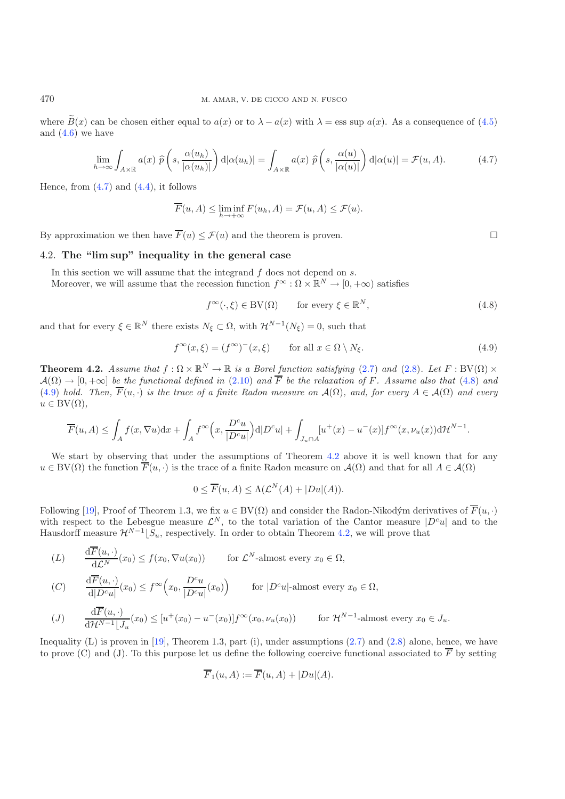where  $\widetilde{B}(x)$  can be chosen either equal to  $a(x)$  or to  $\lambda - a(x)$  with  $\lambda = \text{ess sup } a(x)$ . As a consequence of [\(4.5\)](#page-13-2) and  $(4.6)$  we have

<span id="page-14-4"></span><span id="page-14-3"></span>
$$
\lim_{h \to \infty} \int_{A \times \mathbb{R}} a(x) \ \hat{p}\left(s, \frac{\alpha(u_h)}{|\alpha(u_h)|}\right) d|\alpha(u_h)| = \int_{A \times \mathbb{R}} a(x) \ \hat{p}\left(s, \frac{\alpha(u)}{|\alpha(u)|}\right) d|\alpha(u)| = \mathcal{F}(u, A). \tag{4.7}
$$

Hence, from  $(4.7)$  and  $(4.4)$ , it follows

$$
\overline{F}(u, A) \le \liminf_{h \to +\infty} F(u_h, A) = \mathcal{F}(u, A) \le \mathcal{F}(u).
$$

<span id="page-14-1"></span>By approximation we then have  $\overline{F}(u) \leq \mathcal{F}(u)$  and the theorem is proven.

## 4.2. **The "lim sup" inequality in the general case**

In this section we will assume that the integrand  $f$  does not depend on  $s$ .

Moreover, we will assume that the recession function  $f^{\infty} : \Omega \times \mathbb{R}^{N} \to [0, +\infty)$  satisfies

$$
f^{\infty}(\cdot,\xi) \in BV(\Omega) \qquad \text{for every } \xi \in \mathbb{R}^{N}, \tag{4.8}
$$

and that for every  $\xi \in \mathbb{R}^N$  there exists  $N_{\xi} \subset \Omega$ , with  $\mathcal{H}^{N-1}(N_{\xi}) = 0$ , such that

$$
f^{\infty}(x,\xi) = (f^{\infty})^-(x,\xi) \qquad \text{for all } x \in \Omega \setminus N_{\xi}.
$$
 (4.9)

<span id="page-14-0"></span>**Theorem 4.2.** *Assume that*  $f : \Omega \times \mathbb{R}^N \to \mathbb{R}$  *is a Borel function satisfying* [\(2.7\)](#page-5-0) *and* [\(2.8\)](#page-5-0)*. Let*  $F : BV(\Omega) \times$  $\mathcal{A}(\Omega) \to [0, +\infty]$  *be the functional defined in* [\(2.10\)](#page-6-2) and  $\overline{F}$  *be the relaxation of* F. Assume also that [\(4.8\)](#page-14-3) and [\(4.9\)](#page-14-4) *hold. Then,*  $\overline{F}(u, \cdot)$  *is the trace of a finite Radon measure on*  $\mathcal{A}(\Omega)$ *, and, for every*  $A \in \mathcal{A}(\Omega)$  *and every*  $u \in BV(\Omega)$ ,

$$
\overline{F}(u, A) \le \int_A f(x, \nabla u) dx + \int_A f^{\infty}\Big(x, \frac{D^c u}{|D^c u|}\Big) d|D^c u| + \int_{J_u \cap A} [u^+(x) - u^-(x)] f^{\infty}(x, \nu_u(x)) d\mathcal{H}^{N-1}.
$$

We start by observing that under the assumptions of Theorem [4.2](#page-14-0) above it is well known that for any  $u \in BV(\Omega)$  the function  $F(u, \cdot)$  is the trace of a finite Radon measure on  $\mathcal{A}(\Omega)$  and that for all  $A \in \mathcal{A}(\Omega)$ 

$$
0 \leq \overline{F}(u, A) \leq \Lambda(\mathcal{L}^N(A) + |Du|(A)).
$$

Following [\[19](#page-21-4)], Proof of Theorem 1.3, we fix  $u \in BV(\Omega)$  and consider the Radon-Nikodým derivatives of  $F(u, \cdot)$ <br>with respect to the Lebesgue measure  $\mathcal{L}^N$  to the total variation of the Captor measure  $|D^c u|$  and to th with respect to the Lebesgue measure  $\mathcal{L}^N$ , to the total variation of the Cantor measure  $|D^c u|$  and to the Hausdorff measure  $\mathcal{H}^{N-1} | S$  respectively. In order to obtain Theorem 4.2, we will prove that Hausdorff measure  $\mathcal{H}^{N-1}[S_u]$ , respectively. In order to obtain Theorem [4.2,](#page-14-0) we will prove that

$$
(L) \quad \frac{\mathrm{d}\overline{F}(u,\cdot)}{\mathrm{d}\mathcal{L}^N}(x_0) \le f(x_0, \nabla u(x_0)) \quad \text{for } \mathcal{L}^N\text{-almost every } x_0 \in \Omega,
$$
\n
$$
(C) \quad \frac{\mathrm{d}\overline{F}(u,\cdot)}{\mathrm{d}|D^cu|}(x_0) \le f^\infty\Big(x_0, \frac{D^cu}{|D^cu|}(x_0)\Big) \quad \text{for } |D^cu| \text{-almost every } x_0 \in \Omega,
$$

$$
(J) \qquad \frac{\mathrm{d}\overline{F}(u,\cdot)}{\mathrm{d}\mathcal{H}^{N-1}\lfloor J_u}(x_0) \leq [u^+(x_0) - u^-(x_0)]f^\infty(x_0,\nu_u(x_0)) \qquad \text{for } \mathcal{H}^{N-1}\text{-almost every } x_0 \in J_u.
$$

<span id="page-14-5"></span>Inequality (L) is proven in  $[19]$ , Theorem 1.3, part (i), under assumptions  $(2.7)$  and  $(2.8)$  alone, hence, we have to prove (C) and (J). To this purpose let us define the following coercive functional associated to  $\overline{F}$  by setting

$$
\overline{F}_1(u, A) := \overline{F}(u, A) + |Du|(A).
$$

<span id="page-14-2"></span>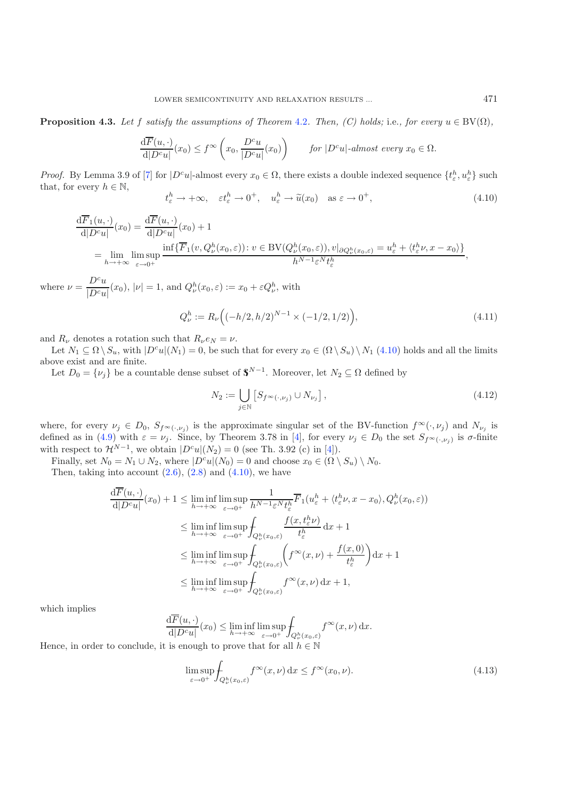<span id="page-15-0"></span>**Proposition 4.3.** *Let* f *satisfy the assumptions of Theorem [4.2](#page-14-0). Then, (C) holds;* i.e., for every  $u \in BV(\Omega)$ ,

<span id="page-15-2"></span>
$$
\frac{\mathrm{d}\overline{F}(u,\cdot)}{\mathrm{d}|D^c u|}(x_0) \le f^{\infty}\left(x_0, \frac{D^c u}{|D^c u|}(x_0)\right) \qquad \text{for } |D^c u| \text{-almost every } x_0 \in \Omega.
$$

*Proof.* By Lemma 3.9 of [\[7](#page-21-27)] for  $|D^c u|$ -almost every  $x_0 \in \Omega$ , there exists a double indexed sequence  $\{t^h_{\varepsilon}, u^h_{\varepsilon}\}$  such that for every  $h \in \mathbb{N}$ that, for every  $h \in \mathbb{N}$ ,

$$
t_{\varepsilon}^{h} \to +\infty, \quad \varepsilon t_{\varepsilon}^{h} \to 0^{+}, \quad u_{\varepsilon}^{h} \to \tilde{u}(x_{0}) \quad \text{as } \varepsilon \to 0^{+}, \tag{4.10}
$$

$$
\frac{\mathrm{d}\overline{F}_1(u,\cdot)}{\mathrm{d}|D^c u|}(x_0) = \frac{\mathrm{d}\overline{F}(u,\cdot)}{\mathrm{d}|D^c u|}(x_0) + 1
$$
\n
$$
= \lim_{h \to +\infty} \limsup_{\varepsilon \to 0^+} \frac{\inf\{\overline{F}_1(v,Q^h_\nu(x_0,\varepsilon)) : v \in BV(Q^h_\nu(x_0,\varepsilon)), v|_{\partial Q^h_\nu(x_0,\varepsilon)} = u_\varepsilon^h + \langle t_\varepsilon^h \nu, x - x_0 \rangle\}}{h^{N-1}\varepsilon^N t_\varepsilon^h},
$$

where  $\nu = \frac{D^c u}{|D^c u|}(x_0), |\nu| = 1$ , and  $Q_{\nu}^h(x_0, \varepsilon) := x_0 + \varepsilon Q_{\nu}^h$ , with

$$
Q_{\nu}^{h} := R_{\nu} \Big( (-h/2, h/2)^{N-1} \times (-1/2, 1/2) \Big), \tag{4.11}
$$

and  $R_{\nu}$  denotes a rotation such that  $R_{\nu} e_N = \nu$ .

Let  $N_1 \subseteq \Omega \setminus S_u$ , with  $|D^c u|(N_1) = 0$ , be such that for every  $x_0 \in (\Omega \setminus S_u) \setminus N_1$  [\(4.10\)](#page-15-0) holds and all the limits above exist and are finite.

Let  $D_0 = \{\nu_j\}$  be a countable dense subset of  $\mathbb{S}^{N-1}$ . Moreover, let  $N_2 \subseteq \Omega$  defined by

$$
N_2 := \bigcup_{j \in \mathbb{N}} \left[ S_{f^{\infty}(\cdot, \nu_j)} \cup N_{\nu_j} \right],\tag{4.12}
$$

where, for every  $\nu_j \in D_0$ ,  $S_{f^\infty(\cdot,\nu_j)}$  is the approximate singular set of the BV-function  $f^\infty(\cdot,\nu_j)$  and  $N_{\nu_j}$  is defined as in [\(4.9\)](#page-14-4) with  $\varepsilon = \nu_j$ . Since, by Theorem 3.78 in [\[4](#page-21-16)], for every  $\nu_j \in D_0$  the set  $S_{f^{\infty}(\cdot,\nu_j)}$  is  $\sigma$ -finite with respect to  $\mathcal{H}^{N-1}$ , we obtain  $|D^c u|(N_2) = 0$  (see Th. 3.92 (c) in [\[4](#page-21-16)]).

Finally, set  $N_0 = N_1 \cup N_2$ , where  $|D^c u|(N_0) = 0$  and choose  $x_0 \in (\Omega \setminus S_u) \setminus N_0$ .

Then, taking into account  $(2.6)$ ,  $(2.8)$  and  $(4.10)$ , we have

<span id="page-15-1"></span>
$$
\frac{dF(u, \cdot)}{d|D^c u|}(x_0) + 1 \le \liminf_{h \to +\infty} \limsup_{\varepsilon \to 0^+} \frac{1}{h^{N-1} \varepsilon^N t_{\varepsilon}^h} \overline{F}_1(u_{\varepsilon}^h + \langle t_{\varepsilon}^h \nu, x - x_0 \rangle, Q_{\nu}^h(x_0, \varepsilon))
$$
\n
$$
\le \liminf_{h \to +\infty} \limsup_{\varepsilon \to 0^+} \int_{Q_{\nu}^h(x_0, \varepsilon)} \frac{f(x, t_{\varepsilon}^h \nu)}{t_{\varepsilon}^h} dx + 1
$$
\n
$$
\le \liminf_{h \to +\infty} \limsup_{\varepsilon \to 0^+} \int_{Q_{\nu}^h(x_0, \varepsilon)} \left( f^{\infty}(x, \nu) + \frac{f(x, 0)}{t_{\varepsilon}^h} \right) dx + 1
$$
\n
$$
\le \liminf_{h \to +\infty} \limsup_{\varepsilon \to 0^+} \int_{Q_{\nu}^h(x_0, \varepsilon)} f^{\infty}(x, \nu) dx + 1,
$$

which implies

$$
\frac{\mathrm{d}\overline{F}(u,\cdot)}{\mathrm{d}|D^c u|}(x_0) \le \liminf_{h \to +\infty} \limsup_{\varepsilon \to 0^+} \int_{Q^h_\nu(x_0,\varepsilon)} f^\infty(x,\nu) \,\mathrm{d}x.
$$

Hence, in order to conclude, it is enough to prove that for all  $h \in \mathbb{N}$ <br>Hence, in order to conclude, it is enough to prove that for all  $h \in \mathbb{N}$ 

$$
\limsup_{\varepsilon \to 0^+} \int_{Q^h_\nu(x_0,\varepsilon)} f^\infty(x,\nu) \, \mathrm{d}x \le f^\infty(x_0,\nu). \tag{4.13}
$$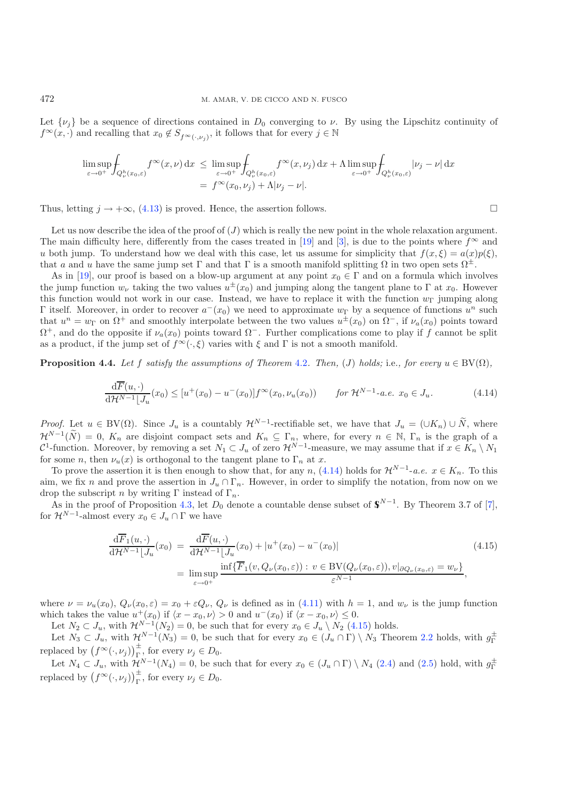Let  $\{\nu_i\}$  be a sequence of directions contained in  $D_0$  converging to  $\nu$ . By using the Lipschitz continuity of  $f^{\infty}(x, \cdot)$  and recalling that  $x_0 \notin S_{f^{\infty}(\cdot, \nu_i)}$ , it follows that for every  $j \in \mathbb{N}$ 

$$
\limsup_{\varepsilon \to 0^+} \int_{Q^h_{\nu}(x_0,\varepsilon)} f^{\infty}(x,\nu) dx \leq \limsup_{\varepsilon \to 0^+} \int_{Q^h_{\nu}(x_0,\varepsilon)} f^{\infty}(x,\nu_j) dx + \Lambda \limsup_{\varepsilon \to 0^+} \int_{Q^h_{\nu}(x_0,\varepsilon)} |\nu_j - \nu| dx
$$

$$
= f^{\infty}(x_0,\nu_j) + \Lambda |\nu_j - \nu|.
$$

Thus, letting  $j \to +\infty$ , [\(4.13\)](#page-15-1) is proved. Hence, the assertion follows.

<span id="page-16-1"></span>Let us now describe the idea of the proof of  $(J)$  which is really the new point in the whole relaxation argument. The main difficulty here, differently from the cases treated in [\[19](#page-21-4)] and [\[3](#page-21-1)], is due to the points where  $f^{\infty}$  and u both jump. To understand how we deal with this case, let us assume for simplicity that  $f(x,\xi) = a(x)p(\xi)$ , that a and u have the same jump set  $\Gamma$  and that  $\Gamma$  is a smooth manifold splitting  $\Omega$  in two open sets  $\Omega^{\pm}$ .

As in [\[19\]](#page-21-4), our proof is based on a blow-up argument at any point  $x_0 \in \Gamma$  and on a formula which involves the jump function  $w_{\nu}$  taking the two values  $u^{\pm}(x_0)$  and jumping along the tangent plane to Γ at  $x_0$ . However this function would not work in our case. Instead, we have to replace it with the function  $w_{\Gamma}$  jumping along Γ itself. Moreover, in order to recover  $a^{-}(x_0)$  we need to approximate  $w_{\Gamma}$  by a sequence of functions  $u^n$  such that  $u^n = w_{\Gamma}$  on  $\Omega^+$  and smoothly interpolate between the two values  $u^{\pm}(x_0)$  on  $\Omega^-$ , if  $\nu_a(x_0)$  points toward  $\Omega^+$ , and do the opposite if  $\nu_a(x_0)$  points toward  $\Omega^-$ . Further complications come to play if f cannot be split as a product, if the jump set of  $f^{\infty}(\cdot,\xi)$  varies with  $\xi$  and  $\Gamma$  is not a smooth manifold.

<span id="page-16-0"></span>**Proposition 4.4.** *Let* f *satisfy the assumptions of Theorem [4.2](#page-14-0). Then,* (*J) holds;* i.e., for every  $u \in BV(\Omega)$ ,

$$
\frac{\mathrm{d}\overline{F}(u,\cdot)}{\mathrm{d}\mathcal{H}^{N-1}\lfloor J_u}(x_0) \leq [u^+(x_0) - u^-(x_0)]f^{\infty}(x_0,\nu_u(x_0)) \qquad \text{for } \mathcal{H}^{N-1}\text{-a.e. } x_0 \in J_u.
$$
\n(4.14)

*Proof.* Let  $u \in BV(\Omega)$ . Since  $J_u$  is a countably  $\mathcal{H}^{N-1}$ -rectifiable set, we have that  $J_u = (UK_n) \cup \widetilde{N}$ , where  $\mathcal{H}^{N-1}(\widetilde{N}) = 0$ ,  $K_n$  are disjoint compact sets and  $K_n \subseteq \Gamma_n$ , where, for every  $n \in \mathbb{N}$ ,  $\Gamma_n$  is the graph of a  $C^1$ -function. Moreover by removing a set  $N_n \subset I$  of zero  $\mathcal{H}^{N-1}$ -measure, we may assume C<sup>1</sup>-function. Moreover, by removing a set  $N_1 \subset J_u$  of zero  $\mathcal{H}^{N-1}$ -measure, we may assume that if  $x \in K_n \setminus N_1$  for some *n*, then  $\mathcal{U}(x)$  is orthogonal to the tangent plane to  $\Gamma$ , at x for some *n*, then  $\nu_u(x)$  is orthogonal to the tangent plane to  $\Gamma_n$  at x.

To prove the assertion it is then enough to show that, for any n,  $(4.14)$  holds for  $\mathcal{H}^{N-1}$ -*a.e.*  $x \in K_n$ . To this aim, we fix n and prove the assertion in  $J_u \cap \Gamma_n$ . However, in order to simplify the notation, from now on we drop the subscript n by writing  $\Gamma$  instead of  $\Gamma_n$ .

<span id="page-16-2"></span>As in the proof of Proposition [4.3,](#page-14-5) let  $D_0$  denote a countable dense subset of  $\mathbb{S}^{N-1}$ . By Theorem 3.7 of [\[7\]](#page-21-27), for  $\mathcal{H}^{N-1}$ -almost every  $x_0 \in J_u \cap \Gamma$  we have

$$
\frac{\mathrm{d}\overline{F}_1(u,\cdot)}{\mathrm{d}\mathcal{H}^{N-1}\lfloor J_u}(x_0) = \frac{\mathrm{d}\overline{F}(u,\cdot)}{\mathrm{d}\mathcal{H}^{N-1}\lfloor J_u}(x_0) + |u^+(x_0) - u^-(x_0)|
$$
\n
$$
= \limsup_{\varepsilon \to 0^+} \frac{\inf\{\overline{F}_1(v,Q_\nu(x_0,\varepsilon)) : v \in \mathrm{BV}(Q_\nu(x_0,\varepsilon)), v|_{\partial Q_\nu(x_0,\varepsilon)} = w_\nu\}}{\varepsilon^{N-1}},
$$
\n(4.15)

where  $\nu = \nu_u(x_0)$ ,  $Q_{\nu}(x_0, \varepsilon) = x_0 + \varepsilon Q_{\nu}$ ,  $Q_{\nu}$  is defined as in [\(4.11\)](#page-15-2) with  $h = 1$ , and  $w_{\nu}$  is the jump function which takes the value  $u^+(x_0)$  if  $\langle x-x_0, \nu \rangle > 0$  and  $u^-(x_0)$  if  $\langle x-x_0, \nu \rangle \leq 0$ .

Let  $N_2 \subset J_u$ , with  $\mathcal{H}^{N-1}(N_2) = 0$ , be such that for every  $x_0 \in J_u \setminus N_2$  [\(4.15\)](#page-16-2) holds.

Let  $N_3 \subset J_u$ , with  $\mathcal{H}^{N-1}(N_3) = 0$ , be such that for every  $x_0 \in (J_u \cap \Gamma) \setminus N_3$  Theorem [2.2](#page-3-2) holds, with  $g_{\Gamma}^{\pm}$ replaced by  $(f^{\infty}(\cdot, \nu_j))^{\pm}_{j}$ , for every  $\nu_j \in D_0$ .<br>
Let  $N \subset I$  with  $2N^{-1}(N)$ , a heavy

Let  $N_4 \subset J_u$ , with  $\mathcal{H}^{N-1}(N_4) = 0$ , be such that for every  $x_0 \in (J_u \cap \Gamma) \setminus N_4$  [\(2.4\)](#page-4-2) and [\(2.5\)](#page-4-3) hold, with  $g_{\Gamma}^{\pm}$ replaced by  $(f^{\infty}(\cdot,\nu_j))_{\Gamma}^{\pm}$ , for every  $\nu_j \in D_0$ .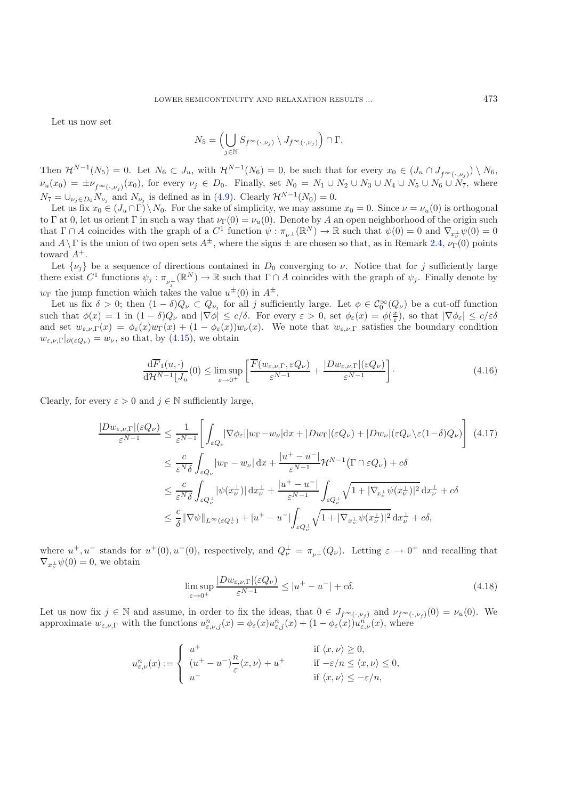Let us now set

$$
N_5 = \left(\bigcup_{j \in \mathbb{N}} S_{f^{\infty}(\cdot,\nu_j)} \setminus J_{f^{\infty}(\cdot,\nu_j)}\right) \cap \Gamma.
$$

Then  $\mathcal{H}^{N-1}(N_5) = 0$ . Let  $N_6 \subset J_u$ , with  $\mathcal{H}^{N-1}(N_6) = 0$ , be such that for every  $x_0 \in (J_u \cap J_{f^{\infty}(\cdot,\nu_i)}) \setminus N_6$ ,  $\nu_u(x_0) = \pm \nu_{f^\infty(\cdot,\nu_s)}(x_0)$ , for every  $\nu_j \in D_0$ . Finally, set  $N_0 = N_1 \cup N_2 \cup N_3 \cup N_4 \cup N_5 \cup N_6 \cup N_7$ , where  $N_7 = \bigcup_{\nu_i \in D_0} N_{\nu_i}$  and  $N_{\nu_i}$  is defined as in [\(4.9\)](#page-14-4). Clearly  $\mathcal{H}^{N-1}(N_0) = 0$ .

<span id="page-17-1"></span>Let us fix  $x_0 \in (J_u \cap \Gamma) \setminus N_0$ . For the sake of simplicity, we may assume  $x_0 = 0$ . Since  $\nu = \nu_u(0)$  is orthogonal to Γ at 0, let us orient Γ in such a way that  $\nu_{\Gamma}(0) = \nu_u(0)$ . Denote by A an open neighborhood of the origin such that  $\Gamma \cap A$  coincides with the graph of a  $C^1$  function  $\psi : \pi_{\nu^{\perp}}(\mathbb{R}^N) \to \mathbb{R}$  such that  $\psi(0) = 0$  and  $\nabla_{x} \psi(0) = 0$ and  $A\setminus\Gamma$  is the union of two open sets  $A^{\pm}$ , where the signs  $\pm$  are chosen so that, as in Remark [2.4,](#page-4-4)  $\nu_{\Gamma}(0)$  points toward <sup>A</sup>+.

Let  $\{\nu_i\}$  be a sequence of directions contained in  $D_0$  converging to  $\nu$ . Notice that for j sufficiently large there exist  $C^1$  functions  $\psi_j : \pi_{\nu_j^{\perp}}(\mathbb{R}^N) \to \mathbb{R}$  such that  $\Gamma \cap A$  coincides with the graph of  $\psi_j$ . Finally denote by  $w_{\Gamma}$  the jump function which takes the value  $u^{\pm}(0)$  in  $A^{\pm}$ .<br>Let us fix  $\delta > 0$ ; then  $(1 - \delta)Q \subseteq Q$  for all i suffici-

Let us fix  $\delta > 0$ ; then  $(1 - \delta)Q_{\nu} \subset Q_{\nu_j}$  for all j sufficiently large. Let  $\phi \in C_0^{\infty}(Q_{\nu})$  be a cut-off function<br>that  $\phi(x) = 1$  in  $(1 - \delta)Q_{\nu}$  and  $|\nabla \phi| \leq c/\delta$ . For every  $\varepsilon > 0$  set  $\phi(x) = \phi(\tilde{x})$  so that such that  $\phi(x) = 1$  in  $(1 - \delta)Q_\nu$  and  $|\nabla \phi| \leq c/\delta$ . For every  $\varepsilon > 0$ , set  $\phi_\varepsilon(x) = \phi(\frac{x}{\varepsilon})$ , so that  $|\nabla \phi_\varepsilon| \leq c/\varepsilon \delta$ <br>and set  $w = \varepsilon(x) = \phi(x)w_\varepsilon(x) + (1 - \phi(x))w_\varepsilon(x)$ . We note that  $w = \varepsilon$  satisfies the bo and set  $w_{\varepsilon,\nu,\Gamma}(x) = \phi_{\varepsilon}(x)w_{\Gamma}(x) + (1 - \phi_{\varepsilon}(x))w_{\nu}(x)$ . We note that  $w_{\varepsilon,\nu,\Gamma}$  satisfies the boundary condition  $w_{\varepsilon,\nu,\Gamma}|_{\partial(\varepsilon Q_{\nu})}=w_{\nu}$ , so that, by [\(4.15\)](#page-16-2), we obtain

$$
\frac{\mathrm{d}\overline{F}_1(u,\cdot)}{\mathrm{d}\mathcal{H}^{N-1}\lfloor J_u(0)\rfloor} \leq \limsup_{\varepsilon \to 0^+} \left[ \frac{\overline{F}(w_{\varepsilon,\nu,\Gamma}, \varepsilon Q_\nu)}{\varepsilon^{N-1}} + \frac{|Dw_{\varepsilon,\nu,\Gamma}|(\varepsilon Q_\nu)}{\varepsilon^{N-1}} \right].\tag{4.16}
$$

<span id="page-17-0"></span>Clearly, for every  $\varepsilon > 0$  and  $j \in \mathbb{N}$  sufficiently large,

<span id="page-17-2"></span>
$$
\frac{|Dw_{\varepsilon,\nu,\Gamma}|(\varepsilon Q_{\nu})}{\varepsilon^{N-1}} \leq \frac{1}{\varepsilon^{N-1}} \Bigg[ \int_{\varepsilon Q_{\nu}} |\nabla \phi_{\varepsilon}| |w_{\Gamma} - w_{\nu}| dx + |Dw_{\Gamma}|(\varepsilon Q_{\nu}) + |Dw_{\nu}|(\varepsilon Q_{\nu} \setminus \varepsilon (1 - \delta) Q_{\nu}) \Bigg] \tag{4.17}
$$
  

$$
\leq \frac{c}{\varepsilon^{N} \delta} \int_{\varepsilon Q_{\nu}} |w_{\Gamma} - w_{\nu}| dx + \frac{|u^{+} - u^{-}|}{\varepsilon^{N-1}} \mathcal{H}^{N-1}(\Gamma \cap \varepsilon Q_{\nu}) + c\delta
$$
  

$$
\leq \frac{c}{\varepsilon^{N} \delta} \int_{\varepsilon Q_{\nu}^{\perp}} |\psi(x_{\nu}^{\perp})| dx_{\nu}^{\perp} + \frac{|u^{+} - u^{-}|}{\varepsilon^{N-1}} \int_{\varepsilon Q_{\nu}^{\perp}} \sqrt{1 + |\nabla_{x_{\nu}^{\perp}} \psi(x_{\nu}^{\perp})|^2} dx_{\nu}^{\perp} + c\delta
$$
  

$$
\leq \frac{c}{\delta} ||\nabla \psi||_{L^{\infty}(\varepsilon Q_{\nu}^{\perp})} + |u^{+} - u^{-}|\int_{\varepsilon Q_{\nu}^{\perp}} \sqrt{1 + |\nabla_{x_{\nu}^{\perp}} \psi(x_{\nu}^{\perp})|^2} dx_{\nu}^{\perp} + c\delta,
$$

where  $u^+, u^-$  stands for  $u^+(0), u^-(0)$ , respectively, and  $Q^{\perp}_{\nu} = \pi_{\nu^{\perp}}(Q_{\nu})$ . Letting  $\varepsilon \to 0^+$  and recalling that  $\nabla_{\nu^{\perp}}\psi(0) = 0$  we obtain  $\nabla_{x^{\perp}_{\nu}} \psi(0) = 0$ , we obtain

$$
\limsup_{\varepsilon \to 0^+} \frac{|Dw_{\varepsilon,\nu,\Gamma}|(\varepsilon Q_{\nu})}{\varepsilon^{N-1}} \le |u^+ - u^-| + c\delta. \tag{4.18}
$$

Let us now fix  $j \in \mathbb{N}$  and assume, in order to fix the ideas, that  $0 \in J_{f^\infty(\cdot,\nu_j)}$  and  $\nu_{f^\infty(\cdot,\nu_j)}(0) = \nu_u(0)$ . We approximate  $w_{\varepsilon,\nu,\Gamma}$  with the functions  $u_{\varepsilon,\nu,j}^n(x) = \phi_{\varepsilon}(x)u_{\varepsilon,j}^n(x) + (1 - \phi_{\varepsilon}(x))u_{\varepsilon,\nu}^n(x)$ , where

$$
u_{\varepsilon,\nu}^n(x) := \begin{cases} u^+ & \text{if } \langle x,\nu \rangle \ge 0, \\ (u^+ - u^-) \frac{n}{\varepsilon} \langle x,\nu \rangle + u^+ & \text{if } -\varepsilon/n \le \langle x,\nu \rangle \le 0, \\ u^- & \text{if } \langle x,\nu \rangle \le -\varepsilon/n, \end{cases}
$$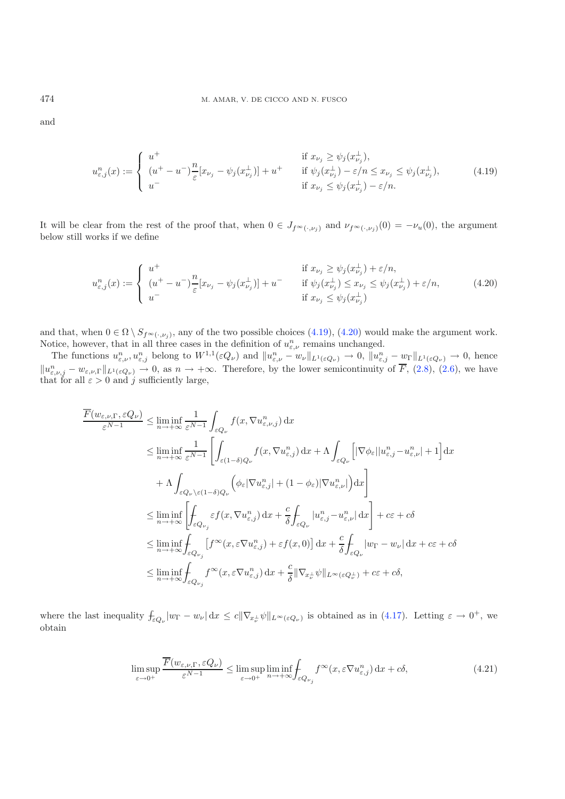<span id="page-18-1"></span>and

$$
u_{\varepsilon,j}^n(x) := \begin{cases} u^+ & \text{if } x_{\nu_j} \ge \psi_j(x_{\nu_j}^+), \\ (u^+ - u^-) \frac{n}{\varepsilon} [x_{\nu_j} - \psi_j(x_{\nu_j}^+)] + u^+ & \text{if } \psi_j(x_{\nu_j}^+) - \varepsilon/n \le x_{\nu_j} \le \psi_j(x_{\nu_j}^+), \\ u^- & \text{if } x_{\nu_j} \le \psi_j(x_{\nu_j}^+) - \varepsilon/n. \end{cases} \tag{4.19}
$$

It will be clear from the rest of the proof that, when  $0 \in J_{f^{\infty}(\cdot,\nu_i)}$  and  $\nu_{f^{\infty}(\cdot,\nu_i)}(0) = -\nu_u(0)$ , the argument below still works if we define

$$
u_{\varepsilon,j}^n(x) := \begin{cases} u^+ & \text{if } x_{\nu_j} \ge \psi_j(x_{\nu_j}^{\perp}) + \varepsilon/n, \\ (u^+ - u^-) \frac{n}{\varepsilon} [x_{\nu_j} - \psi_j(x_{\nu_j}^{\perp})] + u^- & \text{if } \psi_j(x_{\nu_j}^{\perp}) \le x_{\nu_j} \le \psi_j(x_{\nu_j}^{\perp}) + \varepsilon/n, \\ u^- & \text{if } x_{\nu_j} \le \psi_j(x_{\nu_j}^{\perp}) \end{cases} \tag{4.20}
$$

and that, when  $0 \in \Omega \setminus S_{f^{\infty}(\cdot,\nu_j)}$ , any of the two possible choices [\(4.19\)](#page-18-0), [\(4.20\)](#page-18-1) would make the argument work.<br>Notice, however, that in all three cases in the definition of  $u^n$ , remains unchanged Notice, however, that in all three cases in the definition of  $u_{\varepsilon,\nu}^n$  remains unchanged.<br>The functions  $u^n$ , when the  $W^{1,1}(\varepsilon_0)$  and  $||u^n|$ , we find the  $v \to 0$ ,  $||u^n|$ 

The functions  $u_{\varepsilon,\nu}^n, u_{\varepsilon,j}^n$  belong to  $W^{1,1}(\varepsilon Q_\nu)$  and  $||u_{\varepsilon,\nu}^n - w_\nu||_{L^1(\varepsilon Q_\nu)} \to 0$ ,  $||u_{\varepsilon,j}^n - w_\Gamma||_{L^1(\varepsilon Q_\nu)} \to 0$ , hence  $||u_{\varepsilon,\nu,j}^n - w_{\varepsilon,\nu,\Gamma}||_{L^1(\varepsilon Q_\nu)} \to 0$ , as  $n \to +\infty$ . Therefore, by the lower semicontinuity of  $\overline{F}$ , [\(2.8\)](#page-5-0), [\(2.6\)](#page-5-2), we have that for all  $\varepsilon > 0$  and j sufficiently large,

$$
\frac{\overline{F}(w_{\varepsilon,\nu,\Gamma},\varepsilon Q_{\nu})}{\varepsilon^{N-1}} \leq \liminf_{n \to +\infty} \frac{1}{\varepsilon^{N-1}} \int_{\varepsilon Q_{\nu}} f(x, \nabla u_{\varepsilon,\nu,j}^{n}) dx
$$
\n
$$
\leq \liminf_{n \to +\infty} \frac{1}{\varepsilon^{N-1}} \left[ \int_{\varepsilon(1-\delta)Q_{\nu}} f(x, \nabla u_{\varepsilon,j}^{n}) dx + \Lambda \int_{\varepsilon Q_{\nu}} \left[ |\nabla \phi_{\varepsilon}| |u_{\varepsilon,j}^{n} - u_{\varepsilon,\nu}^{n}| + 1 \right] dx \right.
$$
\n
$$
+ \Lambda \int_{\varepsilon Q_{\nu} \setminus \varepsilon(1-\delta)Q_{\nu}} \left( \phi_{\varepsilon} |\nabla u_{\varepsilon,j}^{n}| + (1-\phi_{\varepsilon}) |\nabla u_{\varepsilon,\nu}^{n}| \right) dx \right]
$$
\n
$$
\leq \liminf_{n \to +\infty} \left[ \int_{\varepsilon Q_{\nu_{j}}} \varepsilon f(x, \nabla u_{\varepsilon,j}^{n}) dx + \frac{c}{\delta} \int_{\varepsilon Q_{\nu}} |u_{\varepsilon,j}^{n} - u_{\varepsilon,\nu}^{n}| dx \right] + c\varepsilon + c\delta
$$
\n
$$
\leq \liminf_{n \to +\infty} \int_{\varepsilon Q_{\nu_{j}}} \left[ f^{\infty}(x, \varepsilon \nabla u_{\varepsilon,j}^{n}) + \varepsilon f(x, 0) \right] dx + \frac{c}{\delta} \int_{\varepsilon Q_{\nu}} |w_{\Gamma} - w_{\nu}| dx + c\varepsilon + c\delta
$$
\n
$$
\leq \liminf_{n \to +\infty} \int_{\varepsilon Q_{\nu_{j}}} f^{\infty}(x, \varepsilon \nabla u_{\varepsilon,j}^{n}) dx + \frac{c}{\delta} ||\nabla_{x_{\nu}^{+}} \psi||_{L^{\infty}(\varepsilon Q_{\nu}^{+})} + c\varepsilon + c\delta,
$$

<span id="page-18-2"></span>where the last inequality  $f_{\varepsilon Q_{\nu}}|w_{\Gamma} - w_{\nu}| dx \leq c \|\nabla_{x_{\nu}^{\perp}} \psi\|_{L^{\infty}(\varepsilon Q_{\nu})}$  is obtained as in [\(4.17\)](#page-17-0). Letting  $\varepsilon \to 0^+$ , we obtain

$$
\limsup_{\varepsilon \to 0^+} \frac{\overline{F}(w_{\varepsilon,\nu,\Gamma}, \varepsilon Q_{\nu})}{\varepsilon^{N-1}} \le \limsup_{\varepsilon \to 0^+} \liminf_{n \to +\infty} \int_{\varepsilon Q_{\nu_j}} f^{\infty}(x, \varepsilon \nabla u_{\varepsilon,j}^n) dx + c\delta,
$$
\n(4.21)

<span id="page-18-0"></span>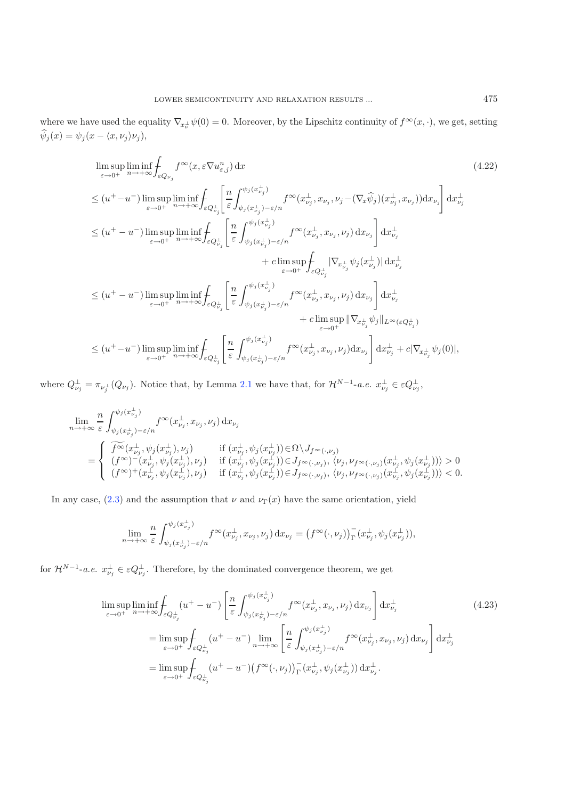where we have used the equality  $\nabla_{x_\nu} \psi(0) = 0$ . Moreover, by the Lipschitz continuity of  $f^\infty(x, \cdot)$ , we get, setting  $\psi_j(x) = \psi_j(x - \langle x, \nu_j \rangle \nu_j),$ 

$$
\limsup_{\varepsilon \to 0^{+}} \liminf_{n \to +\infty} \int_{\varepsilon Q_{\nu_{j}}} f^{\infty}(x, \varepsilon \nabla u_{\varepsilon,j}^{n}) dx
$$
\n
$$
\leq (u^{+} - u^{-}) \limsup_{\varepsilon \to 0^{+}} \liminf_{n \to +\infty} \int_{\varepsilon Q_{\nu_{j}}^{\perp}} \left[ \frac{n}{\varepsilon} \int_{\psi_{j}(x_{\nu_{j}}^{\perp}) - \varepsilon/n}^{\psi_{j}(x_{\nu_{j}}^{\perp})} f^{\infty}(x_{\nu_{j}}^{\perp}, x_{\nu_{j}}, \nu_{j} - (\nabla_{x}\widehat{\psi}_{j})(x_{\nu_{j}}^{\perp}, x_{\nu_{j}})) dx_{\nu_{j}} \right] dx_{\nu_{j}}^{\perp}
$$
\n
$$
\leq (u^{+} - u^{-}) \limsup_{\varepsilon \to 0^{+}} \liminf_{n \to +\infty} \int_{\varepsilon Q_{\nu_{j}}^{\perp}} \left[ \frac{n}{\varepsilon} \int_{\psi_{j}(x_{\nu_{j}}^{\perp}) - \varepsilon/n}^{\psi_{j}(x_{\nu_{j}}^{\perp})} f^{\infty}(x_{\nu_{j}}^{\perp}, x_{\nu_{j}}, \nu_{j}) dx_{\nu_{j}} \right] dx_{\nu_{j}}^{\perp}
$$
\n
$$
+ c \limsup_{\varepsilon \to 0^{+}} \int_{\varepsilon Q_{\nu_{j}}^{\perp}} |\nabla_{x_{\nu_{j}}^{\perp}} \psi_{j}(x_{\nu_{j}}^{\perp})| dx_{\nu_{j}}^{\perp}
$$
\n
$$
\leq (u^{+} - u^{-}) \limsup_{\varepsilon \to 0^{+}} \liminf_{n \to +\infty} \int_{\varepsilon Q_{\nu_{j}}^{\perp}} \left[ \frac{n}{\varepsilon} \int_{\psi_{j}(x_{\nu_{j}}^{\perp}) - \varepsilon/n}^{\psi_{j}(x_{\nu_{j}}^{\perp})} f^{\infty}(x_{\nu_{j}}^{\perp}, x_{\nu_{j}}, \nu_{j}) dx_{\nu_{j}} \right] dx_{\nu_{j}}^{\perp}
$$
\n
$$
+ c \limsup_{\varepsilon \to 0^{+}} ||\nabla_{x_{\
$$

where  $Q_{\nu_j}^{\perp} = \pi_{\nu_j^{\perp}}(Q_{\nu_j})$ . Notice that, by Lemma [2.1](#page-3-3) we have that, for  $\mathcal{H}^{N-1}$ -*a.e.*  $x_{\nu_j}^{\perp} \in \varepsilon Q_{\nu_j}^{\perp}$ ,

$$
\lim_{n \to +\infty} \frac{n}{\varepsilon} \int_{\psi_j(x_{\nu_j}^{\perp}) - \varepsilon/n}^{\psi_j(x_{\nu_j}^{\perp})} f^{\infty}(x_{\nu_j}^{\perp}, x_{\nu_j}, \nu_j) dx_{\nu_j}
$$
\n
$$
= \begin{cases}\n\widetilde{f^{\infty}}(x_{\nu_j}^{\perp}, \psi_j(x_{\nu_j}^{\perp}), \nu_j) & \text{if } (x_{\nu_j}^{\perp}, \psi_j(x_{\nu_j}^{\perp})) \in \Omega \setminus J_{f^{\infty}(\cdot, \nu_j)} \\
(f^{\infty})^-(x_{\nu_j}^{\perp}, \psi_j(x_{\nu_j}^{\perp}), \nu_j) & \text{if } (x_{\nu_j}^{\perp}, \psi_j(x_{\nu_j}^{\perp})) \in J_{f^{\infty}(\cdot, \nu_j)}, \langle \nu_j, \nu_{f^{\infty}(\cdot, \nu_j)}(x_{\nu_j}^{\perp}, \psi_j(x_{\nu_j}^{\perp})) \rangle > 0 \\
(f^{\infty})^+(x_{\nu_j}^{\perp}, \psi_j(x_{\nu_j}^{\perp}), \nu_j) & \text{if } (x_{\nu_j}^{\perp}, \psi_j(x_{\nu_j}^{\perp})) \in J_{f^{\infty}(\cdot, \nu_j)}, \langle \nu_j, \nu_{f^{\infty}(\cdot, \nu_j)}(x_{\nu_j}^{\perp}, \psi_j(x_{\nu_j}^{\perp})) \rangle < 0.\n\end{cases}
$$

In any case, [\(2.3\)](#page-4-1) and the assumption that  $\nu$  and  $\nu_{\Gamma}(x)$  have the same orientation, yield

$$
\lim_{n \to +\infty} \frac{n}{\varepsilon} \int_{\psi_j(x_{\nu_j}^{\perp}) - \varepsilon/n}^{\psi_j(x_{\nu_j}^{\perp})} f^{\infty}(x_{\nu_j}^{\perp}, x_{\nu_j}, \nu_j) dx_{\nu_j} = (f^{\infty}(\cdot, \nu_j))_{\Gamma}^-(x_{\nu_j}^{\perp}, \psi_j(x_{\nu_j}^{\perp})),
$$

for  $\mathcal{H}^{N-1}$ -*a.e.*  $x_{\nu_j}^{\perp} \in \varepsilon Q_{\nu_j}^{\perp}$ . Therefore, by the dominated convergence theorem, we get

$$
\limsup_{\varepsilon \to 0^{+}} \liminf_{n \to +\infty} \oint_{\varepsilon Q_{\nu_{j}}^{\perp}} (u^{+} - u^{-}) \left[ \frac{n}{\varepsilon} \int_{\psi_{j}(x_{\nu_{j}}^{\perp}) - \varepsilon/n}^{\psi_{j}(x_{\nu_{j}}^{\perp})} f^{\infty}(x_{\nu_{j}}^{\perp}, x_{\nu_{j}}, \nu_{j}) dx_{\nu_{j}} \right] dx_{\nu_{j}}^{\perp}
$$
\n
$$
= \limsup_{\varepsilon \to 0^{+}} \oint_{\varepsilon Q_{\nu_{j}}^{\perp}} (u^{+} - u^{-}) \lim_{n \to +\infty} \left[ \frac{n}{\varepsilon} \int_{\psi_{j}(x_{\nu_{j}}^{\perp}) - \varepsilon/n}^{\psi_{j}(x_{\nu_{j}}^{\perp})} f^{\infty}(x_{\nu_{j}}^{\perp}, x_{\nu_{j}}, \nu_{j}) dx_{\nu_{j}} \right] dx_{\nu_{j}}^{\perp}
$$
\n
$$
= \limsup_{\varepsilon \to 0^{+}} \oint_{\varepsilon Q_{\nu_{j}}^{\perp}} (u^{+} - u^{-}) \left( f^{\infty}(\cdot, \nu_{j}) \right) \frac{n}{\Gamma} \left( x_{\nu_{j}}^{\perp}, \psi_{j}(x_{\nu_{j}}^{\perp}) \right) dx_{\nu_{j}}^{\perp}.
$$
\n(4.23)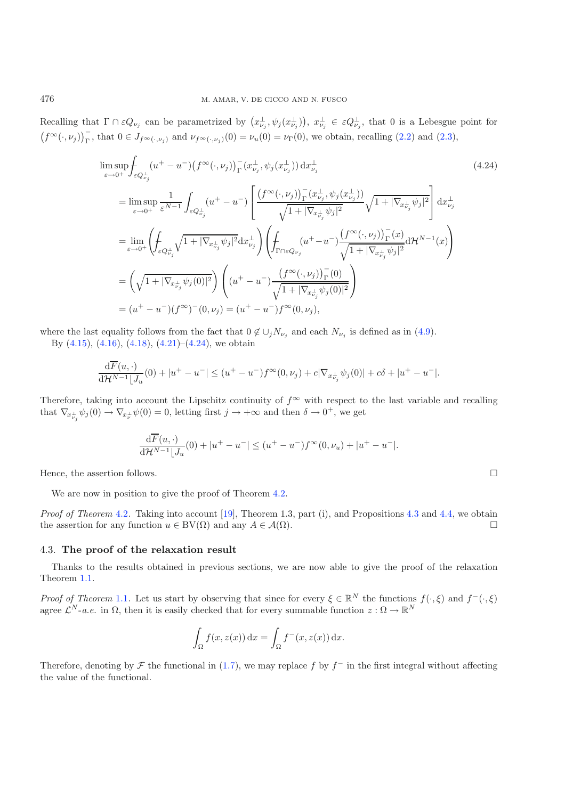<span id="page-20-1"></span>Recalling that  $\Gamma \cap \varepsilon Q_{\nu_j}$  can be parametrized by  $(x_{\nu_j}^{\perp}, \psi_j(x_{\nu_j}^{\perp}))$ ,  $x_{\nu_j}^{\perp} \in \varepsilon Q_{\nu_j}^{\perp}$ , that 0 is a Lebesgue point for  $(f^{\infty}(\cdot,\nu_j))_{\Gamma}^-$ , that  $0 \in J_{f^{\infty}(\cdot,\nu_j)}$  and  $\nu_{f^{\infty}(\cdot,\nu_j)}(0) = \nu_u(0) = \nu_{\Gamma}(0)$ , we obtain, recalling [\(2.2\)](#page-3-0) and [\(2.3\)](#page-4-1),

$$
\limsup_{\varepsilon \to 0^{+}} \int_{\varepsilon Q_{\nu_{j}}^{+}} (u^{+} - u^{-}) \left(f^{\infty}(\cdot, \nu_{j})\right)_{\Gamma}^{-} (x_{\nu_{j}}^{+}, \psi_{j}(x_{\nu_{j}}^{+})) dx_{\nu_{j}}^{+}
$$
\n
$$
= \limsup_{\varepsilon \to 0^{+}} \frac{1}{\varepsilon^{N-1}} \int_{\varepsilon Q_{\nu_{j}}^{+}} (u^{+} - u^{-}) \left[ \frac{\left(f^{\infty}(\cdot, \nu_{j})\right)_{\Gamma}^{-} (x_{\nu_{j}}^{+}, \psi_{j}(x_{\nu_{j}}^{+}))}{\sqrt{1 + |\nabla_{x_{\nu_{j}}^{+}} \psi_{j}|^{2}}}\right] dx_{\nu_{j}}^{+}
$$
\n
$$
= \lim_{\varepsilon \to 0^{+}} \left( \int_{\varepsilon Q_{\nu_{j}}^{+}} \sqrt{1 + |\nabla_{x_{\nu_{j}}^{+}} \psi_{j}|^{2}} dx_{\nu_{j}}^{+} \right) \left( \int_{\Gamma \cap \varepsilon Q_{\nu_{j}}} (u^{+} - u^{-}) \frac{\left(f^{\infty}(\cdot, \nu_{j})\right)_{\Gamma}^{-} (x)}{\sqrt{1 + |\nabla_{x_{\nu_{j}}^{+}} \psi_{j}|^{2}}} d\mathcal{H}^{N-1}(x) \right)
$$
\n
$$
= \left( \sqrt{1 + |\nabla_{x_{\nu_{j}}^{+}} \psi_{j}(0)|^{2}} \right) \left( (u^{+} - u^{-}) \frac{\left(f^{\infty}(\cdot, \nu_{j})\right)_{\Gamma}^{-} (0)}{\sqrt{1 + |\nabla_{x_{\nu_{j}}^{+}} \psi_{j}(0)|^{2}}} \right)
$$
\n
$$
= (u^{+} - u^{-}) \left(f^{\infty})^{-} (0, \nu_{j}) = (u^{+} - u^{-}) f^{\infty} (0, \nu_{j}),
$$
\n(4.24)

where the last equality follows from the fact that  $0 \notin \bigcup_j N_{\nu_j}$  and each  $N_{\nu_j}$  is defined as in [\(4.9\)](#page-14-4).

By  $(4.15)$ ,  $(4.16)$ ,  $(4.18)$ ,  $(4.21)$ – $(4.24)$ , we obtain

$$
\frac{\mathrm{d}\overline{F}(u,\cdot)}{\mathrm{d}\mathcal{H}^{N-1}\lfloor J_u(0)+|u^+-u^-|\leq (u^+-u^-)f^{\infty}(0,\nu_j)+c|\nabla_{x_{\nu_j}^{\perp}}\psi_j(0)|+c\delta+|u^+-u^-|.
$$

Therefore, taking into account the Lipschitz continuity of  $f^{\infty}$  with respect to the last variable and recalling that  $\nabla_{x_{\nu_j}^{\perp}} \psi_j(0) \to \nabla_{x_{\nu}^{\perp}} \psi(0) = 0$ , letting first  $j \to +\infty$  and then  $\delta \to 0^+$ , we get

$$
\frac{\mathrm{d}\overline{F}(u,\cdot)}{\mathrm{d}\mathcal{H}^{N-1}\lfloor J_u(0) + |u^+ - u^-| \le (u^+ - u^-)f^\infty(0,\nu_u) + |u^+ - u^-|.
$$

Hence, the assertion follows.  $\Box$ 

νj

We are now in position to give the proof of Theorem [4.2.](#page-14-0)

*Proof of Theorem* [4.2](#page-14-0). Taking into account [\[19\]](#page-21-4), Theorem 1.3, part (i), and Propositions [4.3](#page-14-5) and [4.4,](#page-16-0) we obtain the assertion for any function  $u \in BV(\Omega)$  and any  $A \in \mathcal{A}(\Omega)$ .

#### <span id="page-20-0"></span>4.3. **The proof of the relaxation result**

Thanks to the results obtained in previous sections, we are now able to give the proof of the relaxation Theorem [1.1.](#page-2-0)

*Proof of Theorem* [1.1](#page-2-0). Let us start by observing that since for every  $\xi \in \mathbb{R}^N$  the functions  $f(\cdot, \xi)$  and  $f^-(\cdot, \xi)$ agree  $\mathcal{L}^N$ -*a.e.* in  $\Omega$ , then it is easily checked that for every summable function  $z : \Omega \to \mathbb{R}^N$ 

$$
\int_{\Omega} f(x, z(x)) dx = \int_{\Omega} f^{-}(x, z(x)) dx.
$$

Therefore, denoting by F the functional in [\(1.7\)](#page-2-2), we may replace f by  $f^-$  in the first integral without affecting the value of the functional.